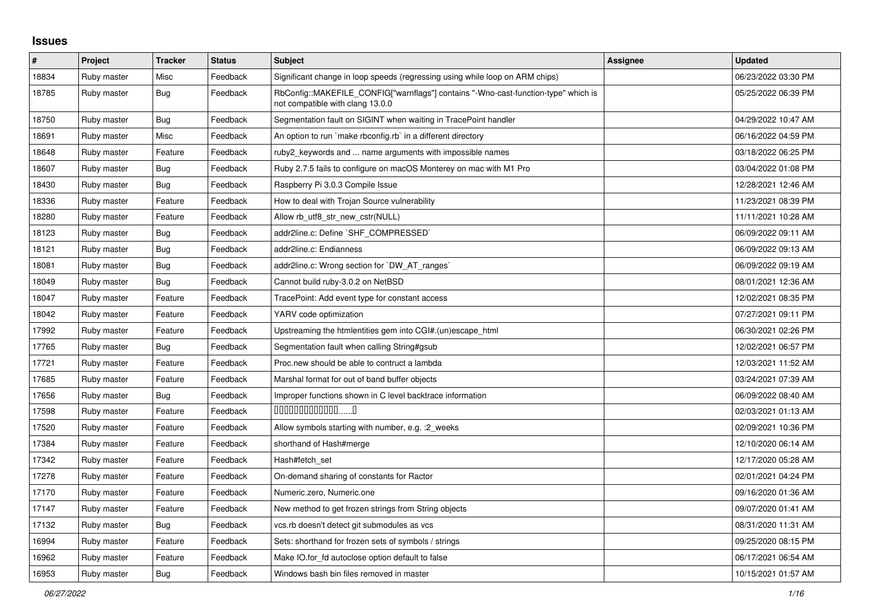## **Issues**

| #     | <b>Project</b> | <b>Tracker</b> | <b>Status</b> | <b>Subject</b>                                                                                                         | Assignee | <b>Updated</b>      |
|-------|----------------|----------------|---------------|------------------------------------------------------------------------------------------------------------------------|----------|---------------------|
| 18834 | Ruby master    | Misc           | Feedback      | Significant change in loop speeds (regressing using while loop on ARM chips)                                           |          | 06/23/2022 03:30 PM |
| 18785 | Ruby master    | Bug            | Feedback      | RbConfig::MAKEFILE CONFIG["warnflags"] contains "-Wno-cast-function-type" which is<br>not compatible with clang 13.0.0 |          | 05/25/2022 06:39 PM |
| 18750 | Ruby master    | Bug            | Feedback      | Segmentation fault on SIGINT when waiting in TracePoint handler                                                        |          | 04/29/2022 10:47 AM |
| 18691 | Ruby master    | Misc           | Feedback      | An option to run `make rbconfig.rb` in a different directory                                                           |          | 06/16/2022 04:59 PM |
| 18648 | Ruby master    | Feature        | Feedback      | ruby2_keywords and  name arguments with impossible names                                                               |          | 03/18/2022 06:25 PM |
| 18607 | Ruby master    | Bug            | Feedback      | Ruby 2.7.5 fails to configure on macOS Monterey on mac with M1 Pro                                                     |          | 03/04/2022 01:08 PM |
| 18430 | Ruby master    | Bug            | Feedback      | Raspberry Pi 3.0.3 Compile Issue                                                                                       |          | 12/28/2021 12:46 AM |
| 18336 | Ruby master    | Feature        | Feedback      | How to deal with Trojan Source vulnerability                                                                           |          | 11/23/2021 08:39 PM |
| 18280 | Ruby master    | Feature        | Feedback      | Allow rb_utf8_str_new_cstr(NULL)                                                                                       |          | 11/11/2021 10:28 AM |
| 18123 | Ruby master    | Bug            | Feedback      | addr2line.c: Define `SHF_COMPRESSED`                                                                                   |          | 06/09/2022 09:11 AM |
| 18121 | Ruby master    | <b>Bug</b>     | Feedback      | addr2line.c: Endianness                                                                                                |          | 06/09/2022 09:13 AM |
| 18081 | Ruby master    | <b>Bug</b>     | Feedback      | addr2line.c: Wrong section for `DW AT ranges`                                                                          |          | 06/09/2022 09:19 AM |
| 18049 | Ruby master    | Bug            | Feedback      | Cannot build ruby-3.0.2 on NetBSD                                                                                      |          | 08/01/2021 12:36 AM |
| 18047 | Ruby master    | Feature        | Feedback      | TracePoint: Add event type for constant access                                                                         |          | 12/02/2021 08:35 PM |
| 18042 | Ruby master    | Feature        | Feedback      | YARV code optimization                                                                                                 |          | 07/27/2021 09:11 PM |
| 17992 | Ruby master    | Feature        | Feedback      | Upstreaming the htmlentities gem into CGI#.(un)escape_html                                                             |          | 06/30/2021 02:26 PM |
| 17765 | Ruby master    | Bug            | Feedback      | Segmentation fault when calling String#gsub                                                                            |          | 12/02/2021 06:57 PM |
| 17721 | Ruby master    | Feature        | Feedback      | Proc.new should be able to contruct a lambda                                                                           |          | 12/03/2021 11:52 AM |
| 17685 | Ruby master    | Feature        | Feedback      | Marshal format for out of band buffer objects                                                                          |          | 03/24/2021 07:39 AM |
| 17656 | Ruby master    | Bug            | Feedback      | Improper functions shown in C level backtrace information                                                              |          | 06/09/2022 08:40 AM |
| 17598 | Ruby master    | Feature        | Feedback      | $0000000000000010$                                                                                                     |          | 02/03/2021 01:13 AM |
| 17520 | Ruby master    | Feature        | Feedback      | Allow symbols starting with number, e.g. :2_weeks                                                                      |          | 02/09/2021 10:36 PM |
| 17384 | Ruby master    | Feature        | Feedback      | shorthand of Hash#merge                                                                                                |          | 12/10/2020 06:14 AM |
| 17342 | Ruby master    | Feature        | Feedback      | Hash#fetch set                                                                                                         |          | 12/17/2020 05:28 AM |
| 17278 | Ruby master    | Feature        | Feedback      | On-demand sharing of constants for Ractor                                                                              |          | 02/01/2021 04:24 PM |
| 17170 | Ruby master    | Feature        | Feedback      | Numeric.zero, Numeric.one                                                                                              |          | 09/16/2020 01:36 AM |
| 17147 | Ruby master    | Feature        | Feedback      | New method to get frozen strings from String objects                                                                   |          | 09/07/2020 01:41 AM |
| 17132 | Ruby master    | Bug            | Feedback      | vcs.rb doesn't detect git submodules as vcs                                                                            |          | 08/31/2020 11:31 AM |
| 16994 | Ruby master    | Feature        | Feedback      | Sets: shorthand for frozen sets of symbols / strings                                                                   |          | 09/25/2020 08:15 PM |
| 16962 | Ruby master    | Feature        | Feedback      | Make IO.for_fd autoclose option default to false                                                                       |          | 06/17/2021 06:54 AM |
| 16953 | Ruby master    | <b>Bug</b>     | Feedback      | Windows bash bin files removed in master                                                                               |          | 10/15/2021 01:57 AM |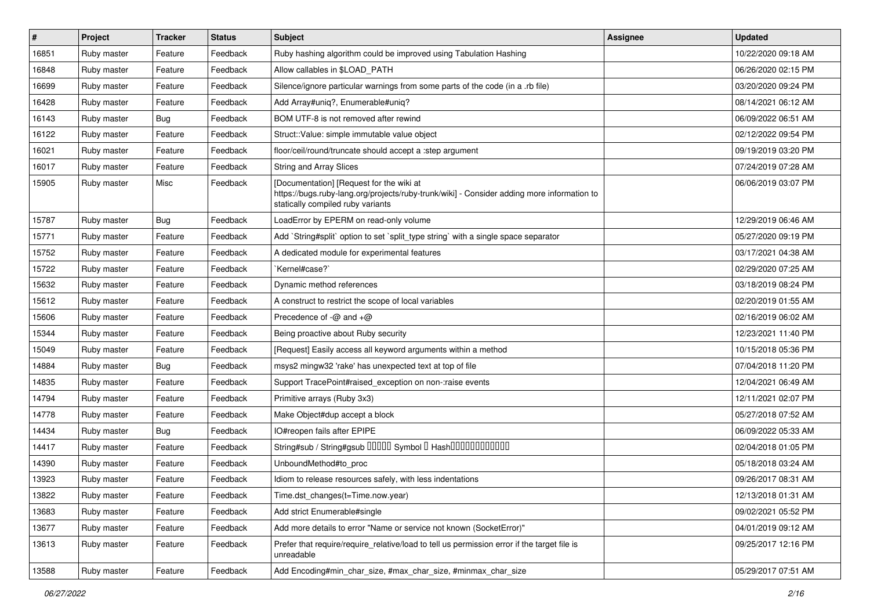| #     | Project     | <b>Tracker</b> | <b>Status</b> | <b>Subject</b>                                                                                                                                                              | <b>Assignee</b> | <b>Updated</b>      |
|-------|-------------|----------------|---------------|-----------------------------------------------------------------------------------------------------------------------------------------------------------------------------|-----------------|---------------------|
| 16851 | Ruby master | Feature        | Feedback      | Ruby hashing algorithm could be improved using Tabulation Hashing                                                                                                           |                 | 10/22/2020 09:18 AM |
| 16848 | Ruby master | Feature        | Feedback      | Allow callables in \$LOAD_PATH                                                                                                                                              |                 | 06/26/2020 02:15 PM |
| 16699 | Ruby master | Feature        | Feedback      | Silence/ignore particular warnings from some parts of the code (in a .rb file)                                                                                              |                 | 03/20/2020 09:24 PM |
| 16428 | Ruby master | Feature        | Feedback      | Add Array#uniq?, Enumerable#uniq?                                                                                                                                           |                 | 08/14/2021 06:12 AM |
| 16143 | Ruby master | Bug            | Feedback      | BOM UTF-8 is not removed after rewind                                                                                                                                       |                 | 06/09/2022 06:51 AM |
| 16122 | Ruby master | Feature        | Feedback      | Struct::Value: simple immutable value object                                                                                                                                |                 | 02/12/2022 09:54 PM |
| 16021 | Ruby master | Feature        | Feedback      | floor/ceil/round/truncate should accept a :step argument                                                                                                                    |                 | 09/19/2019 03:20 PM |
| 16017 | Ruby master | Feature        | Feedback      | <b>String and Array Slices</b>                                                                                                                                              |                 | 07/24/2019 07:28 AM |
| 15905 | Ruby master | Misc           | Feedback      | [Documentation] [Request for the wiki at<br>https://bugs.ruby-lang.org/projects/ruby-trunk/wiki] - Consider adding more information to<br>statically compiled ruby variants |                 | 06/06/2019 03:07 PM |
| 15787 | Ruby master | Bug            | Feedback      | LoadError by EPERM on read-only volume                                                                                                                                      |                 | 12/29/2019 06:46 AM |
| 15771 | Ruby master | Feature        | Feedback      | Add `String#split` option to set `split_type string` with a single space separator                                                                                          |                 | 05/27/2020 09:19 PM |
| 15752 | Ruby master | Feature        | Feedback      | A dedicated module for experimental features                                                                                                                                |                 | 03/17/2021 04:38 AM |
| 15722 | Ruby master | Feature        | Feedback      | `Kernel#case?`                                                                                                                                                              |                 | 02/29/2020 07:25 AM |
| 15632 | Ruby master | Feature        | Feedback      | Dynamic method references                                                                                                                                                   |                 | 03/18/2019 08:24 PM |
| 15612 | Ruby master | Feature        | Feedback      | A construct to restrict the scope of local variables                                                                                                                        |                 | 02/20/2019 01:55 AM |
| 15606 | Ruby master | Feature        | Feedback      | Precedence of $-\omega$ and $+\omega$                                                                                                                                       |                 | 02/16/2019 06:02 AM |
| 15344 | Ruby master | Feature        | Feedback      | Being proactive about Ruby security                                                                                                                                         |                 | 12/23/2021 11:40 PM |
| 15049 | Ruby master | Feature        | Feedback      | [Request] Easily access all keyword arguments within a method                                                                                                               |                 | 10/15/2018 05:36 PM |
| 14884 | Ruby master | Bug            | Feedback      | msys2 mingw32 'rake' has unexpected text at top of file                                                                                                                     |                 | 07/04/2018 11:20 PM |
| 14835 | Ruby master | Feature        | Feedback      | Support TracePoint#raised_exception on non-:raise events                                                                                                                    |                 | 12/04/2021 06:49 AM |
| 14794 | Ruby master | Feature        | Feedback      | Primitive arrays (Ruby 3x3)                                                                                                                                                 |                 | 12/11/2021 02:07 PM |
| 14778 | Ruby master | Feature        | Feedback      | Make Object#dup accept a block                                                                                                                                              |                 | 05/27/2018 07:52 AM |
| 14434 | Ruby master | Bug            | Feedback      | IO#reopen fails after EPIPE                                                                                                                                                 |                 | 06/09/2022 05:33 AM |
| 14417 | Ruby master | Feature        | Feedback      | String#sub / String#gsub 00000 Symbol 0 Hash000000000000                                                                                                                    |                 | 02/04/2018 01:05 PM |
| 14390 | Ruby master | Feature        | Feedback      | UnboundMethod#to_proc                                                                                                                                                       |                 | 05/18/2018 03:24 AM |
| 13923 | Ruby master | Feature        | Feedback      | Idiom to release resources safely, with less indentations                                                                                                                   |                 | 09/26/2017 08:31 AM |
| 13822 | Ruby master | Feature        | Feedback      | Time.dst_changes(t=Time.now.year)                                                                                                                                           |                 | 12/13/2018 01:31 AM |
| 13683 | Ruby master | Feature        | Feedback      | Add strict Enumerable#single                                                                                                                                                |                 | 09/02/2021 05:52 PM |
| 13677 | Ruby master | Feature        | Feedback      | Add more details to error "Name or service not known (SocketError)"                                                                                                         |                 | 04/01/2019 09:12 AM |
| 13613 | Ruby master | Feature        | Feedback      | Prefer that require/require relative/load to tell us permission error if the target file is<br>unreadable                                                                   |                 | 09/25/2017 12:16 PM |
| 13588 | Ruby master | Feature        | Feedback      | Add Encoding#min_char_size, #max_char_size, #minmax_char_size                                                                                                               |                 | 05/29/2017 07:51 AM |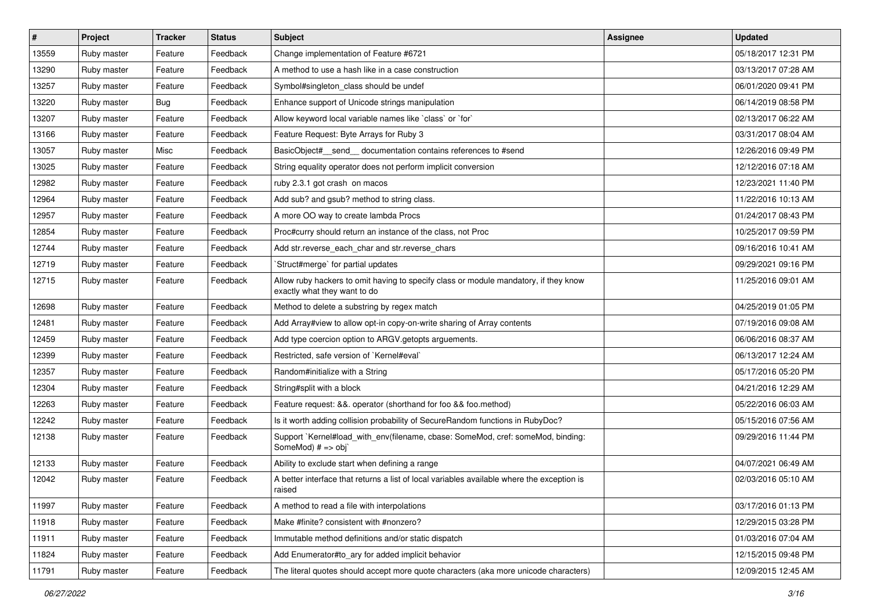| $\sharp$ | <b>Project</b> | <b>Tracker</b> | <b>Status</b> | <b>Subject</b>                                                                                                       | Assignee | <b>Updated</b>      |
|----------|----------------|----------------|---------------|----------------------------------------------------------------------------------------------------------------------|----------|---------------------|
| 13559    | Ruby master    | Feature        | Feedback      | Change implementation of Feature #6721                                                                               |          | 05/18/2017 12:31 PM |
| 13290    | Ruby master    | Feature        | Feedback      | A method to use a hash like in a case construction                                                                   |          | 03/13/2017 07:28 AM |
| 13257    | Ruby master    | Feature        | Feedback      | Symbol#singleton class should be undef                                                                               |          | 06/01/2020 09:41 PM |
| 13220    | Ruby master    | Bug            | Feedback      | Enhance support of Unicode strings manipulation                                                                      |          | 06/14/2019 08:58 PM |
| 13207    | Ruby master    | Feature        | Feedback      | Allow keyword local variable names like `class` or `for`                                                             |          | 02/13/2017 06:22 AM |
| 13166    | Ruby master    | Feature        | Feedback      | Feature Request: Byte Arrays for Ruby 3                                                                              |          | 03/31/2017 08:04 AM |
| 13057    | Ruby master    | Misc           | Feedback      | BasicObject#_send_documentation contains references to #send                                                         |          | 12/26/2016 09:49 PM |
| 13025    | Ruby master    | Feature        | Feedback      | String equality operator does not perform implicit conversion                                                        |          | 12/12/2016 07:18 AM |
| 12982    | Ruby master    | Feature        | Feedback      | ruby 2.3.1 got crash on macos                                                                                        |          | 12/23/2021 11:40 PM |
| 12964    | Ruby master    | Feature        | Feedback      | Add sub? and gsub? method to string class.                                                                           |          | 11/22/2016 10:13 AM |
| 12957    | Ruby master    | Feature        | Feedback      | A more OO way to create lambda Procs                                                                                 |          | 01/24/2017 08:43 PM |
| 12854    | Ruby master    | Feature        | Feedback      | Proc#curry should return an instance of the class, not Proc                                                          |          | 10/25/2017 09:59 PM |
| 12744    | Ruby master    | Feature        | Feedback      | Add str.reverse_each_char and str.reverse_chars                                                                      |          | 09/16/2016 10:41 AM |
| 12719    | Ruby master    | Feature        | Feedback      | 'Struct#merge' for partial updates                                                                                   |          | 09/29/2021 09:16 PM |
| 12715    | Ruby master    | Feature        | Feedback      | Allow ruby hackers to omit having to specify class or module mandatory, if they know<br>exactly what they want to do |          | 11/25/2016 09:01 AM |
| 12698    | Ruby master    | Feature        | Feedback      | Method to delete a substring by regex match                                                                          |          | 04/25/2019 01:05 PM |
| 12481    | Ruby master    | Feature        | Feedback      | Add Array#view to allow opt-in copy-on-write sharing of Array contents                                               |          | 07/19/2016 09:08 AM |
| 12459    | Ruby master    | Feature        | Feedback      | Add type coercion option to ARGV getopts arguements.                                                                 |          | 06/06/2016 08:37 AM |
| 12399    | Ruby master    | Feature        | Feedback      | Restricted, safe version of `Kernel#eval`                                                                            |          | 06/13/2017 12:24 AM |
| 12357    | Ruby master    | Feature        | Feedback      | Random#initialize with a String                                                                                      |          | 05/17/2016 05:20 PM |
| 12304    | Ruby master    | Feature        | Feedback      | String#split with a block                                                                                            |          | 04/21/2016 12:29 AM |
| 12263    | Ruby master    | Feature        | Feedback      | Feature request: &&. operator (shorthand for foo && foo.method)                                                      |          | 05/22/2016 06:03 AM |
| 12242    | Ruby master    | Feature        | Feedback      | Is it worth adding collision probability of SecureRandom functions in RubyDoc?                                       |          | 05/15/2016 07:56 AM |
| 12138    | Ruby master    | Feature        | Feedback      | Support `Kernel#load_with_env(filename, cbase: SomeMod, cref: someMod, binding:<br>SomeMod) # => obj`                |          | 09/29/2016 11:44 PM |
| 12133    | Ruby master    | Feature        | Feedback      | Ability to exclude start when defining a range                                                                       |          | 04/07/2021 06:49 AM |
| 12042    | Ruby master    | Feature        | Feedback      | A better interface that returns a list of local variables available where the exception is<br>raised                 |          | 02/03/2016 05:10 AM |
| 11997    | Ruby master    | Feature        | Feedback      | A method to read a file with interpolations                                                                          |          | 03/17/2016 01:13 PM |
| 11918    | Ruby master    | Feature        | Feedback      | Make #finite? consistent with #nonzero?                                                                              |          | 12/29/2015 03:28 PM |
| 11911    | Ruby master    | Feature        | Feedback      | Immutable method definitions and/or static dispatch                                                                  |          | 01/03/2016 07:04 AM |
| 11824    | Ruby master    | Feature        | Feedback      | Add Enumerator#to_ary for added implicit behavior                                                                    |          | 12/15/2015 09:48 PM |
| 11791    | Ruby master    | Feature        | Feedback      | The literal quotes should accept more quote characters (aka more unicode characters)                                 |          | 12/09/2015 12:45 AM |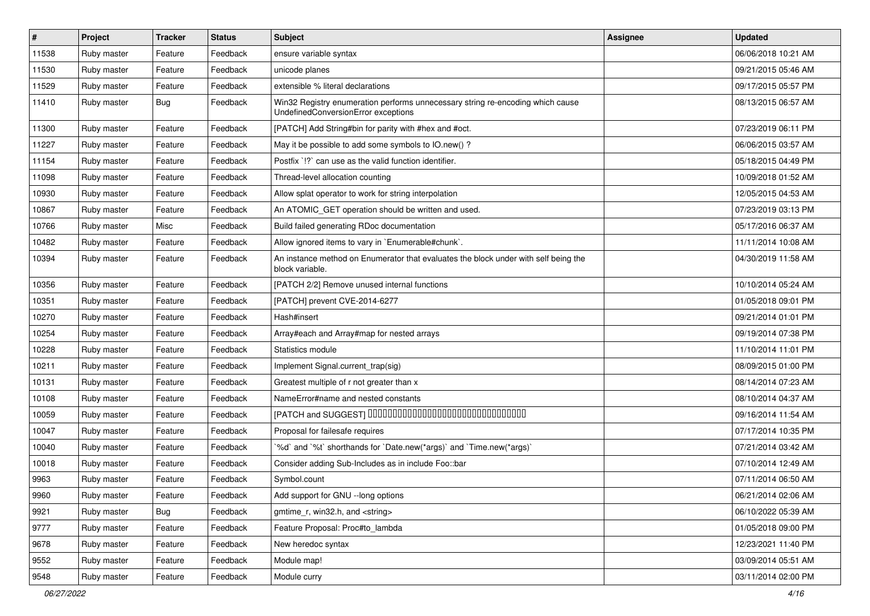| #     | Project     | <b>Tracker</b> | <b>Status</b> | <b>Subject</b>                                                                                                        | Assignee | <b>Updated</b>      |
|-------|-------------|----------------|---------------|-----------------------------------------------------------------------------------------------------------------------|----------|---------------------|
| 11538 | Ruby master | Feature        | Feedback      | ensure variable syntax                                                                                                |          | 06/06/2018 10:21 AM |
| 11530 | Ruby master | Feature        | Feedback      | unicode planes                                                                                                        |          | 09/21/2015 05:46 AM |
| 11529 | Ruby master | Feature        | Feedback      | extensible % literal declarations                                                                                     |          | 09/17/2015 05:57 PM |
| 11410 | Ruby master | Bug            | Feedback      | Win32 Registry enumeration performs unnecessary string re-encoding which cause<br>UndefinedConversionError exceptions |          | 08/13/2015 06:57 AM |
| 11300 | Ruby master | Feature        | Feedback      | [PATCH] Add String#bin for parity with #hex and #oct.                                                                 |          | 07/23/2019 06:11 PM |
| 11227 | Ruby master | Feature        | Feedback      | May it be possible to add some symbols to IO.new() ?                                                                  |          | 06/06/2015 03:57 AM |
| 11154 | Ruby master | Feature        | Feedback      | Postfix '!?' can use as the valid function identifier.                                                                |          | 05/18/2015 04:49 PM |
| 11098 | Ruby master | Feature        | Feedback      | Thread-level allocation counting                                                                                      |          | 10/09/2018 01:52 AM |
| 10930 | Ruby master | Feature        | Feedback      | Allow splat operator to work for string interpolation                                                                 |          | 12/05/2015 04:53 AM |
| 10867 | Ruby master | Feature        | Feedback      | An ATOMIC_GET operation should be written and used.                                                                   |          | 07/23/2019 03:13 PM |
| 10766 | Ruby master | Misc           | Feedback      | Build failed generating RDoc documentation                                                                            |          | 05/17/2016 06:37 AM |
| 10482 | Ruby master | Feature        | Feedback      | Allow ignored items to vary in `Enumerable#chunk`.                                                                    |          | 11/11/2014 10:08 AM |
| 10394 | Ruby master | Feature        | Feedback      | An instance method on Enumerator that evaluates the block under with self being the<br>block variable.                |          | 04/30/2019 11:58 AM |
| 10356 | Ruby master | Feature        | Feedback      | [PATCH 2/2] Remove unused internal functions                                                                          |          | 10/10/2014 05:24 AM |
| 10351 | Ruby master | Feature        | Feedback      | [PATCH] prevent CVE-2014-6277                                                                                         |          | 01/05/2018 09:01 PM |
| 10270 | Ruby master | Feature        | Feedback      | Hash#insert                                                                                                           |          | 09/21/2014 01:01 PM |
| 10254 | Ruby master | Feature        | Feedback      | Array#each and Array#map for nested arrays                                                                            |          | 09/19/2014 07:38 PM |
| 10228 | Ruby master | Feature        | Feedback      | Statistics module                                                                                                     |          | 11/10/2014 11:01 PM |
| 10211 | Ruby master | Feature        | Feedback      | Implement Signal.current_trap(sig)                                                                                    |          | 08/09/2015 01:00 PM |
| 10131 | Ruby master | Feature        | Feedback      | Greatest multiple of r not greater than x                                                                             |          | 08/14/2014 07:23 AM |
| 10108 | Ruby master | Feature        | Feedback      | NameError#name and nested constants                                                                                   |          | 08/10/2014 04:37 AM |
| 10059 | Ruby master | Feature        | Feedback      | [PATCH and SUGGEST] 0000000000000000000000000000000                                                                   |          | 09/16/2014 11:54 AM |
| 10047 | Ruby master | Feature        | Feedback      | Proposal for failesafe requires                                                                                       |          | 07/17/2014 10:35 PM |
| 10040 | Ruby master | Feature        | Feedback      | '%d' and '%t' shorthands for 'Date.new(*args)' and 'Time.new(*args)'                                                  |          | 07/21/2014 03:42 AM |
| 10018 | Ruby master | Feature        | Feedback      | Consider adding Sub-Includes as in include Foo::bar                                                                   |          | 07/10/2014 12:49 AM |
| 9963  | Ruby master | Feature        | Feedback      | Symbol.count                                                                                                          |          | 07/11/2014 06:50 AM |
| 9960  | Ruby master | Feature        | Feedback      | Add support for GNU --long options                                                                                    |          | 06/21/2014 02:06 AM |
| 9921  | Ruby master | Bug            | Feedback      | gmtime r, win32.h, and <string></string>                                                                              |          | 06/10/2022 05:39 AM |
| 9777  | Ruby master | Feature        | Feedback      | Feature Proposal: Proc#to_lambda                                                                                      |          | 01/05/2018 09:00 PM |
| 9678  | Ruby master | Feature        | Feedback      | New heredoc syntax                                                                                                    |          | 12/23/2021 11:40 PM |
| 9552  | Ruby master | Feature        | Feedback      | Module map!                                                                                                           |          | 03/09/2014 05:51 AM |
| 9548  | Ruby master | Feature        | Feedback      | Module curry                                                                                                          |          | 03/11/2014 02:00 PM |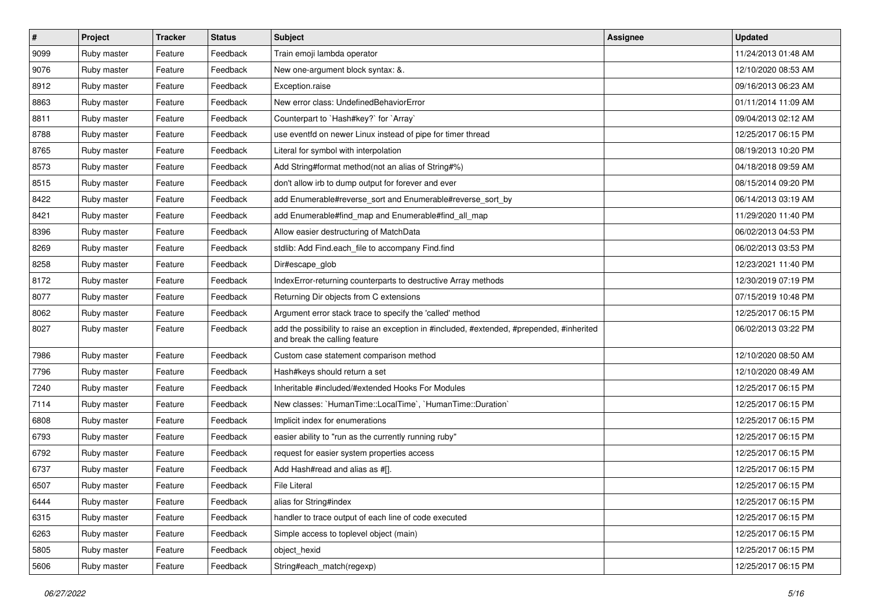| $\vert$ # | Project     | <b>Tracker</b> | <b>Status</b> | <b>Subject</b>                                                                                                             | Assignee | <b>Updated</b>      |
|-----------|-------------|----------------|---------------|----------------------------------------------------------------------------------------------------------------------------|----------|---------------------|
| 9099      | Ruby master | Feature        | Feedback      | Train emoji lambda operator                                                                                                |          | 11/24/2013 01:48 AM |
| 9076      | Ruby master | Feature        | Feedback      | New one-argument block syntax: &.                                                                                          |          | 12/10/2020 08:53 AM |
| 8912      | Ruby master | Feature        | Feedback      | Exception.raise                                                                                                            |          | 09/16/2013 06:23 AM |
| 8863      | Ruby master | Feature        | Feedback      | New error class: UndefinedBehaviorError                                                                                    |          | 01/11/2014 11:09 AM |
| 8811      | Ruby master | Feature        | Feedback      | Counterpart to `Hash#key?` for `Array`                                                                                     |          | 09/04/2013 02:12 AM |
| 8788      | Ruby master | Feature        | Feedback      | use eventfd on newer Linux instead of pipe for timer thread                                                                |          | 12/25/2017 06:15 PM |
| 8765      | Ruby master | Feature        | Feedback      | Literal for symbol with interpolation                                                                                      |          | 08/19/2013 10:20 PM |
| 8573      | Ruby master | Feature        | Feedback      | Add String#format method(not an alias of String#%)                                                                         |          | 04/18/2018 09:59 AM |
| 8515      | Ruby master | Feature        | Feedback      | don't allow irb to dump output for forever and ever                                                                        |          | 08/15/2014 09:20 PM |
| 8422      | Ruby master | Feature        | Feedback      | add Enumerable#reverse_sort and Enumerable#reverse_sort_by                                                                 |          | 06/14/2013 03:19 AM |
| 8421      | Ruby master | Feature        | Feedback      | add Enumerable#find_map and Enumerable#find_all_map                                                                        |          | 11/29/2020 11:40 PM |
| 8396      | Ruby master | Feature        | Feedback      | Allow easier destructuring of MatchData                                                                                    |          | 06/02/2013 04:53 PM |
| 8269      | Ruby master | Feature        | Feedback      | stdlib: Add Find.each_file to accompany Find.find                                                                          |          | 06/02/2013 03:53 PM |
| 8258      | Ruby master | Feature        | Feedback      | Dir#escape_glob                                                                                                            |          | 12/23/2021 11:40 PM |
| 8172      | Ruby master | Feature        | Feedback      | IndexError-returning counterparts to destructive Array methods                                                             |          | 12/30/2019 07:19 PM |
| 8077      | Ruby master | Feature        | Feedback      | Returning Dir objects from C extensions                                                                                    |          | 07/15/2019 10:48 PM |
| 8062      | Ruby master | Feature        | Feedback      | Argument error stack trace to specify the 'called' method                                                                  |          | 12/25/2017 06:15 PM |
| 8027      | Ruby master | Feature        | Feedback      | add the possibility to raise an exception in #included, #extended, #prepended, #inherited<br>and break the calling feature |          | 06/02/2013 03:22 PM |
| 7986      | Ruby master | Feature        | Feedback      | Custom case statement comparison method                                                                                    |          | 12/10/2020 08:50 AM |
| 7796      | Ruby master | Feature        | Feedback      | Hash#keys should return a set                                                                                              |          | 12/10/2020 08:49 AM |
| 7240      | Ruby master | Feature        | Feedback      | Inheritable #included/#extended Hooks For Modules                                                                          |          | 12/25/2017 06:15 PM |
| 7114      | Ruby master | Feature        | Feedback      | New classes: `HumanTime::LocalTime`, `HumanTime::Duration`                                                                 |          | 12/25/2017 06:15 PM |
| 6808      | Ruby master | Feature        | Feedback      | Implicit index for enumerations                                                                                            |          | 12/25/2017 06:15 PM |
| 6793      | Ruby master | Feature        | Feedback      | easier ability to "run as the currently running ruby"                                                                      |          | 12/25/2017 06:15 PM |
| 6792      | Ruby master | Feature        | Feedback      | request for easier system properties access                                                                                |          | 12/25/2017 06:15 PM |
| 6737      | Ruby master | Feature        | Feedback      | Add Hash#read and alias as #[].                                                                                            |          | 12/25/2017 06:15 PM |
| 6507      | Ruby master | Feature        | Feedback      | <b>File Literal</b>                                                                                                        |          | 12/25/2017 06:15 PM |
| 6444      | Ruby master | Feature        | Feedback      | alias for String#index                                                                                                     |          | 12/25/2017 06:15 PM |
| 6315      | Ruby master | Feature        | Feedback      | handler to trace output of each line of code executed                                                                      |          | 12/25/2017 06:15 PM |
| 6263      | Ruby master | Feature        | Feedback      | Simple access to toplevel object (main)                                                                                    |          | 12/25/2017 06:15 PM |
| 5805      | Ruby master | Feature        | Feedback      | object hexid                                                                                                               |          | 12/25/2017 06:15 PM |
| 5606      | Ruby master | Feature        | Feedback      | String#each_match(regexp)                                                                                                  |          | 12/25/2017 06:15 PM |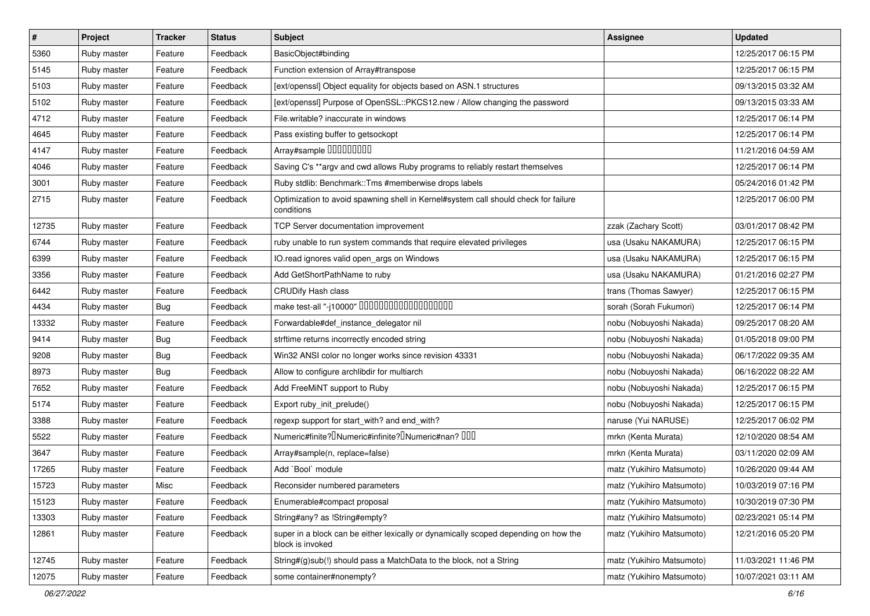| $\vert$ # | Project     | <b>Tracker</b> | <b>Status</b> | Subject                                                                                                 | <b>Assignee</b>           | <b>Updated</b>      |
|-----------|-------------|----------------|---------------|---------------------------------------------------------------------------------------------------------|---------------------------|---------------------|
| 5360      | Ruby master | Feature        | Feedback      | BasicObject#binding                                                                                     |                           | 12/25/2017 06:15 PM |
| 5145      | Ruby master | Feature        | Feedback      | Function extension of Array#transpose                                                                   |                           | 12/25/2017 06:15 PM |
| 5103      | Ruby master | Feature        | Feedback      | [ext/openssl] Object equality for objects based on ASN.1 structures                                     |                           | 09/13/2015 03:32 AM |
| 5102      | Ruby master | Feature        | Feedback      | [ext/openssl] Purpose of OpenSSL::PKCS12.new / Allow changing the password                              |                           | 09/13/2015 03:33 AM |
| 4712      | Ruby master | Feature        | Feedback      | File.writable? inaccurate in windows                                                                    |                           | 12/25/2017 06:14 PM |
| 4645      | Ruby master | Feature        | Feedback      | Pass existing buffer to getsockopt                                                                      |                           | 12/25/2017 06:14 PM |
| 4147      | Ruby master | Feature        | Feedback      | Array#sample 00000000                                                                                   |                           | 11/21/2016 04:59 AM |
| 4046      | Ruby master | Feature        | Feedback      | Saving C's **argv and cwd allows Ruby programs to reliably restart themselves                           |                           | 12/25/2017 06:14 PM |
| 3001      | Ruby master | Feature        | Feedback      | Ruby stdlib: Benchmark::Tms #memberwise drops labels                                                    |                           | 05/24/2016 01:42 PM |
| 2715      | Ruby master | Feature        | Feedback      | Optimization to avoid spawning shell in Kernel#system call should check for failure<br>conditions       |                           | 12/25/2017 06:00 PM |
| 12735     | Ruby master | Feature        | Feedback      | TCP Server documentation improvement                                                                    | zzak (Zachary Scott)      | 03/01/2017 08:42 PM |
| 6744      | Ruby master | Feature        | Feedback      | ruby unable to run system commands that require elevated privileges                                     | usa (Usaku NAKAMURA)      | 12/25/2017 06:15 PM |
| 6399      | Ruby master | Feature        | Feedback      | IO.read ignores valid open_args on Windows                                                              | usa (Usaku NAKAMURA)      | 12/25/2017 06:15 PM |
| 3356      | Ruby master | Feature        | Feedback      | Add GetShortPathName to ruby                                                                            | usa (Usaku NAKAMURA)      | 01/21/2016 02:27 PM |
| 6442      | Ruby master | Feature        | Feedback      | <b>CRUDify Hash class</b>                                                                               | trans (Thomas Sawyer)     | 12/25/2017 06:15 PM |
| 4434      | Ruby master | Bug            | Feedback      | make test-all "-j10000" 0000000000000000000                                                             | sorah (Sorah Fukumori)    | 12/25/2017 06:14 PM |
| 13332     | Ruby master | Feature        | Feedback      | Forwardable#def_instance_delegator nil                                                                  | nobu (Nobuyoshi Nakada)   | 09/25/2017 08:20 AM |
| 9414      | Ruby master | <b>Bug</b>     | Feedback      | strftime returns incorrectly encoded string                                                             | nobu (Nobuyoshi Nakada)   | 01/05/2018 09:00 PM |
| 9208      | Ruby master | <b>Bug</b>     | Feedback      | Win32 ANSI color no longer works since revision 43331                                                   | nobu (Nobuyoshi Nakada)   | 06/17/2022 09:35 AM |
| 8973      | Ruby master | Bug            | Feedback      | Allow to configure archlibdir for multiarch                                                             | nobu (Nobuyoshi Nakada)   | 06/16/2022 08:22 AM |
| 7652      | Ruby master | Feature        | Feedback      | Add FreeMiNT support to Ruby                                                                            | nobu (Nobuyoshi Nakada)   | 12/25/2017 06:15 PM |
| 5174      | Ruby master | Feature        | Feedback      | Export ruby_init_prelude()                                                                              | nobu (Nobuyoshi Nakada)   | 12/25/2017 06:15 PM |
| 3388      | Ruby master | Feature        | Feedback      | regexp support for start_with? and end_with?                                                            | naruse (Yui NARUSE)       | 12/25/2017 06:02 PM |
| 5522      | Ruby master | Feature        | Feedback      | Numeric#finite? INumeric#infinite? INumeric#nan? IIII                                                   | mrkn (Kenta Murata)       | 12/10/2020 08:54 AM |
| 3647      | Ruby master | Feature        | Feedback      | Array#sample(n, replace=false)                                                                          | mrkn (Kenta Murata)       | 03/11/2020 02:09 AM |
| 17265     | Ruby master | Feature        | Feedback      | Add `Bool` module                                                                                       | matz (Yukihiro Matsumoto) | 10/26/2020 09:44 AM |
| 15723     | Ruby master | Misc           | Feedback      | Reconsider numbered parameters                                                                          | matz (Yukihiro Matsumoto) | 10/03/2019 07:16 PM |
| 15123     | Ruby master | Feature        | Feedback      | Enumerable#compact proposal                                                                             | matz (Yukihiro Matsumoto) | 10/30/2019 07:30 PM |
| 13303     | Ruby master | Feature        | Feedback      | String#any? as !String#empty?                                                                           | matz (Yukihiro Matsumoto) | 02/23/2021 05:14 PM |
| 12861     | Ruby master | Feature        | Feedback      | super in a block can be either lexically or dynamically scoped depending on how the<br>block is invoked | matz (Yukihiro Matsumoto) | 12/21/2016 05:20 PM |
| 12745     | Ruby master | Feature        | Feedback      | String#(g)sub(!) should pass a MatchData to the block, not a String                                     | matz (Yukihiro Matsumoto) | 11/03/2021 11:46 PM |
| 12075     | Ruby master | Feature        | Feedback      | some container#nonempty?                                                                                | matz (Yukihiro Matsumoto) | 10/07/2021 03:11 AM |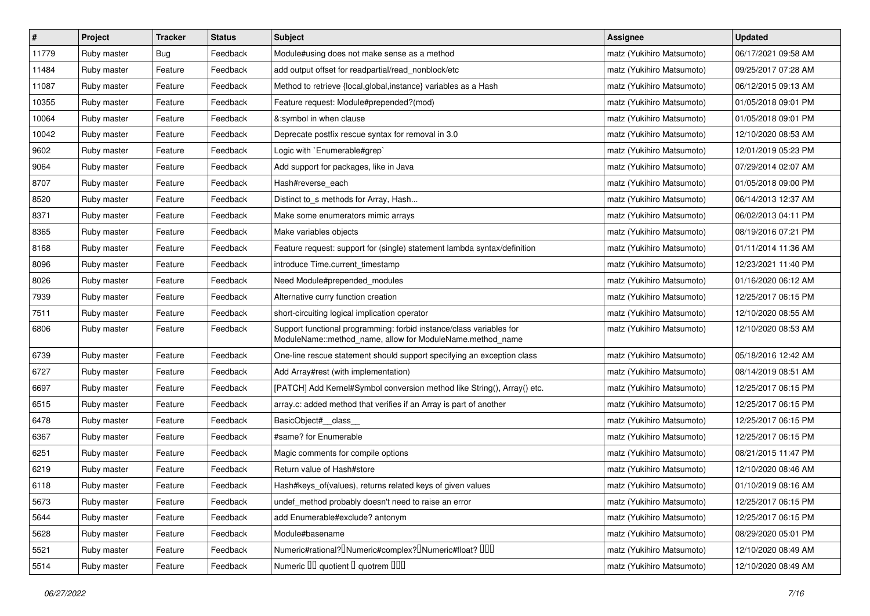| $\vert$ # | Project     | <b>Tracker</b> | <b>Status</b> | Subject                                                                                                                          | Assignee                  | <b>Updated</b>      |
|-----------|-------------|----------------|---------------|----------------------------------------------------------------------------------------------------------------------------------|---------------------------|---------------------|
| 11779     | Ruby master | Bug            | Feedback      | Module#using does not make sense as a method                                                                                     | matz (Yukihiro Matsumoto) | 06/17/2021 09:58 AM |
| 11484     | Ruby master | Feature        | Feedback      | add output offset for readpartial/read_nonblock/etc                                                                              | matz (Yukihiro Matsumoto) | 09/25/2017 07:28 AM |
| 11087     | Ruby master | Feature        | Feedback      | Method to retrieve {local, global, instance} variables as a Hash                                                                 | matz (Yukihiro Matsumoto) | 06/12/2015 09:13 AM |
| 10355     | Ruby master | Feature        | Feedback      | Feature request: Module#prepended?(mod)                                                                                          | matz (Yukihiro Matsumoto) | 01/05/2018 09:01 PM |
| 10064     | Ruby master | Feature        | Feedback      | &:symbol in when clause                                                                                                          | matz (Yukihiro Matsumoto) | 01/05/2018 09:01 PM |
| 10042     | Ruby master | Feature        | Feedback      | Deprecate postfix rescue syntax for removal in 3.0                                                                               | matz (Yukihiro Matsumoto) | 12/10/2020 08:53 AM |
| 9602      | Ruby master | Feature        | Feedback      | Logic with `Enumerable#grep`                                                                                                     | matz (Yukihiro Matsumoto) | 12/01/2019 05:23 PM |
| 9064      | Ruby master | Feature        | Feedback      | Add support for packages, like in Java                                                                                           | matz (Yukihiro Matsumoto) | 07/29/2014 02:07 AM |
| 8707      | Ruby master | Feature        | Feedback      | Hash#reverse_each                                                                                                                | matz (Yukihiro Matsumoto) | 01/05/2018 09:00 PM |
| 8520      | Ruby master | Feature        | Feedback      | Distinct to_s methods for Array, Hash                                                                                            | matz (Yukihiro Matsumoto) | 06/14/2013 12:37 AM |
| 8371      | Ruby master | Feature        | Feedback      | Make some enumerators mimic arrays                                                                                               | matz (Yukihiro Matsumoto) | 06/02/2013 04:11 PM |
| 8365      | Ruby master | Feature        | Feedback      | Make variables objects                                                                                                           | matz (Yukihiro Matsumoto) | 08/19/2016 07:21 PM |
| 8168      | Ruby master | Feature        | Feedback      | Feature request: support for (single) statement lambda syntax/definition                                                         | matz (Yukihiro Matsumoto) | 01/11/2014 11:36 AM |
| 8096      | Ruby master | Feature        | Feedback      | introduce Time.current_timestamp                                                                                                 | matz (Yukihiro Matsumoto) | 12/23/2021 11:40 PM |
| 8026      | Ruby master | Feature        | Feedback      | Need Module#prepended_modules                                                                                                    | matz (Yukihiro Matsumoto) | 01/16/2020 06:12 AM |
| 7939      | Ruby master | Feature        | Feedback      | Alternative curry function creation                                                                                              | matz (Yukihiro Matsumoto) | 12/25/2017 06:15 PM |
| 7511      | Ruby master | Feature        | Feedback      | short-circuiting logical implication operator                                                                                    | matz (Yukihiro Matsumoto) | 12/10/2020 08:55 AM |
| 6806      | Ruby master | Feature        | Feedback      | Support functional programming: forbid instance/class variables for<br>ModuleName::method_name, allow for ModuleName.method_name | matz (Yukihiro Matsumoto) | 12/10/2020 08:53 AM |
| 6739      | Ruby master | Feature        | Feedback      | One-line rescue statement should support specifying an exception class                                                           | matz (Yukihiro Matsumoto) | 05/18/2016 12:42 AM |
| 6727      | Ruby master | Feature        | Feedback      | Add Array#rest (with implementation)                                                                                             | matz (Yukihiro Matsumoto) | 08/14/2019 08:51 AM |
| 6697      | Ruby master | Feature        | Feedback      | [PATCH] Add Kernel#Symbol conversion method like String(), Array() etc.                                                          | matz (Yukihiro Matsumoto) | 12/25/2017 06:15 PM |
| 6515      | Ruby master | Feature        | Feedback      | array.c: added method that verifies if an Array is part of another                                                               | matz (Yukihiro Matsumoto) | 12/25/2017 06:15 PM |
| 6478      | Ruby master | Feature        | Feedback      | BasicObject#_class_                                                                                                              | matz (Yukihiro Matsumoto) | 12/25/2017 06:15 PM |
| 6367      | Ruby master | Feature        | Feedback      | #same? for Enumerable                                                                                                            | matz (Yukihiro Matsumoto) | 12/25/2017 06:15 PM |
| 6251      | Ruby master | Feature        | Feedback      | Magic comments for compile options                                                                                               | matz (Yukihiro Matsumoto) | 08/21/2015 11:47 PM |
| 6219      | Ruby master | Feature        | Feedback      | Return value of Hash#store                                                                                                       | matz (Yukihiro Matsumoto) | 12/10/2020 08:46 AM |
| 6118      | Ruby master | Feature        | Feedback      | Hash#keys_of(values), returns related keys of given values                                                                       | matz (Yukihiro Matsumoto) | 01/10/2019 08:16 AM |
| 5673      | Ruby master | Feature        | Feedback      | undef_method probably doesn't need to raise an error                                                                             | matz (Yukihiro Matsumoto) | 12/25/2017 06:15 PM |
| 5644      | Ruby master | Feature        | Feedback      | add Enumerable#exclude? antonym                                                                                                  | matz (Yukihiro Matsumoto) | 12/25/2017 06:15 PM |
| 5628      | Ruby master | Feature        | Feedback      | Module#basename                                                                                                                  | matz (Yukihiro Matsumoto) | 08/29/2020 05:01 PM |
| 5521      | Ruby master | Feature        | Feedback      | Numeric#rational? <sup>[]</sup> Numeric#complex? <sup>[]</sup> Numeric#float? <sup>[10]</sup>                                    | matz (Yukihiro Matsumoto) | 12/10/2020 08:49 AM |
| 5514      | Ruby master | Feature        | Feedback      | Numeric III quotient II quotrem IIII                                                                                             | matz (Yukihiro Matsumoto) | 12/10/2020 08:49 AM |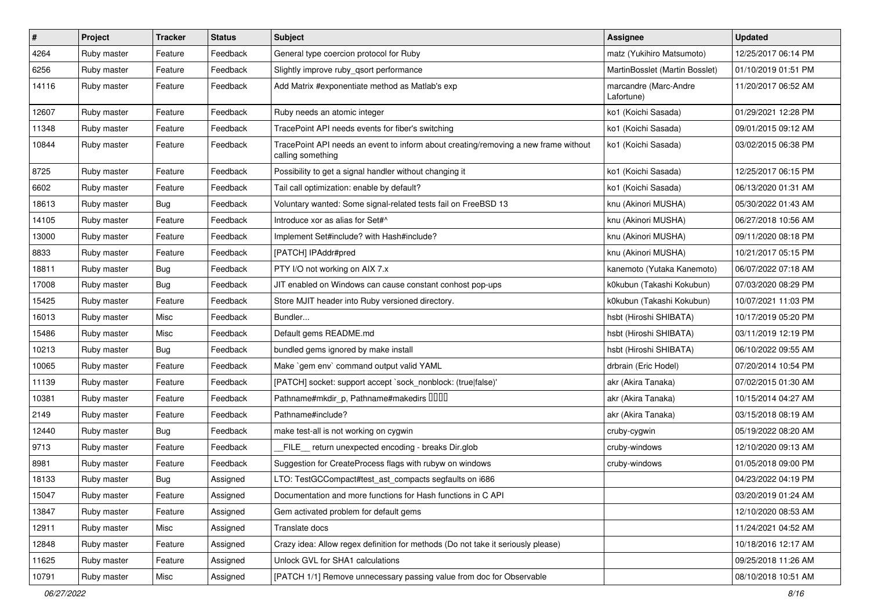| #     | Project     | <b>Tracker</b> | <b>Status</b> | Subject                                                                                                  | Assignee                            | <b>Updated</b>      |
|-------|-------------|----------------|---------------|----------------------------------------------------------------------------------------------------------|-------------------------------------|---------------------|
| 4264  | Ruby master | Feature        | Feedback      | General type coercion protocol for Ruby                                                                  | matz (Yukihiro Matsumoto)           | 12/25/2017 06:14 PM |
| 6256  | Ruby master | Feature        | Feedback      | Slightly improve ruby_qsort performance                                                                  | MartinBosslet (Martin Bosslet)      | 01/10/2019 01:51 PM |
| 14116 | Ruby master | Feature        | Feedback      | Add Matrix #exponentiate method as Matlab's exp                                                          | marcandre (Marc-Andre<br>Lafortune) | 11/20/2017 06:52 AM |
| 12607 | Ruby master | Feature        | Feedback      | Ruby needs an atomic integer                                                                             | ko1 (Koichi Sasada)                 | 01/29/2021 12:28 PM |
| 11348 | Ruby master | Feature        | Feedback      | TracePoint API needs events for fiber's switching                                                        | ko1 (Koichi Sasada)                 | 09/01/2015 09:12 AM |
| 10844 | Ruby master | Feature        | Feedback      | TracePoint API needs an event to inform about creating/removing a new frame without<br>calling something | ko1 (Koichi Sasada)                 | 03/02/2015 06:38 PM |
| 8725  | Ruby master | Feature        | Feedback      | Possibility to get a signal handler without changing it                                                  | ko1 (Koichi Sasada)                 | 12/25/2017 06:15 PM |
| 6602  | Ruby master | Feature        | Feedback      | Tail call optimization: enable by default?                                                               | ko1 (Koichi Sasada)                 | 06/13/2020 01:31 AM |
| 18613 | Ruby master | Bug            | Feedback      | Voluntary wanted: Some signal-related tests fail on FreeBSD 13                                           | knu (Akinori MUSHA)                 | 05/30/2022 01:43 AM |
| 14105 | Ruby master | Feature        | Feedback      | Introduce xor as alias for Set#^                                                                         | knu (Akinori MUSHA)                 | 06/27/2018 10:56 AM |
| 13000 | Ruby master | Feature        | Feedback      | Implement Set#include? with Hash#include?                                                                | knu (Akinori MUSHA)                 | 09/11/2020 08:18 PM |
| 8833  | Ruby master | Feature        | Feedback      | [PATCH] IPAddr#pred                                                                                      | knu (Akinori MUSHA)                 | 10/21/2017 05:15 PM |
| 18811 | Ruby master | Bug            | Feedback      | PTY I/O not working on AIX 7.x                                                                           | kanemoto (Yutaka Kanemoto)          | 06/07/2022 07:18 AM |
| 17008 | Ruby master | Bug            | Feedback      | JIT enabled on Windows can cause constant conhost pop-ups                                                | k0kubun (Takashi Kokubun)           | 07/03/2020 08:29 PM |
| 15425 | Ruby master | Feature        | Feedback      | Store MJIT header into Ruby versioned directory.                                                         | k0kubun (Takashi Kokubun)           | 10/07/2021 11:03 PM |
| 16013 | Ruby master | Misc           | Feedback      | Bundler                                                                                                  | hsbt (Hiroshi SHIBATA)              | 10/17/2019 05:20 PM |
| 15486 | Ruby master | Misc           | Feedback      | Default gems README.md                                                                                   | hsbt (Hiroshi SHIBATA)              | 03/11/2019 12:19 PM |
| 10213 | Ruby master | Bug            | Feedback      | bundled gems ignored by make install                                                                     | hsbt (Hiroshi SHIBATA)              | 06/10/2022 09:55 AM |
| 10065 | Ruby master | Feature        | Feedback      | Make `gem env` command output valid YAML                                                                 | drbrain (Eric Hodel)                | 07/20/2014 10:54 PM |
| 11139 | Ruby master | Feature        | Feedback      | [PATCH] socket: support accept `sock_nonblock: (true false)'                                             | akr (Akira Tanaka)                  | 07/02/2015 01:30 AM |
| 10381 | Ruby master | Feature        | Feedback      | Pathname#mkdir_p, Pathname#makedirs IIIII                                                                | akr (Akira Tanaka)                  | 10/15/2014 04:27 AM |
| 2149  | Ruby master | Feature        | Feedback      | Pathname#include?                                                                                        | akr (Akira Tanaka)                  | 03/15/2018 08:19 AM |
| 12440 | Ruby master | Bug            | Feedback      | make test-all is not working on cygwin                                                                   | cruby-cygwin                        | 05/19/2022 08:20 AM |
| 9713  | Ruby master | Feature        | Feedback      | FILE return unexpected encoding - breaks Dir.glob                                                        | cruby-windows                       | 12/10/2020 09:13 AM |
| 8981  | Ruby master | Feature        | Feedback      | Suggestion for CreateProcess flags with rubyw on windows                                                 | cruby-windows                       | 01/05/2018 09:00 PM |
| 18133 | Ruby master | <b>Bug</b>     | Assigned      | LTO: TestGCCompact#test_ast_compacts segfaults on i686                                                   |                                     | 04/23/2022 04:19 PM |
| 15047 | Ruby master | Feature        | Assigned      | Documentation and more functions for Hash functions in C API                                             |                                     | 03/20/2019 01:24 AM |
| 13847 | Ruby master | Feature        | Assigned      | Gem activated problem for default gems                                                                   |                                     | 12/10/2020 08:53 AM |
| 12911 | Ruby master | Misc           | Assigned      | Translate docs                                                                                           |                                     | 11/24/2021 04:52 AM |
| 12848 | Ruby master | Feature        | Assigned      | Crazy idea: Allow regex definition for methods (Do not take it seriously please)                         |                                     | 10/18/2016 12:17 AM |
| 11625 | Ruby master | Feature        | Assigned      | Unlock GVL for SHA1 calculations                                                                         |                                     | 09/25/2018 11:26 AM |
| 10791 | Ruby master | Misc           | Assigned      | [PATCH 1/1] Remove unnecessary passing value from doc for Observable                                     |                                     | 08/10/2018 10:51 AM |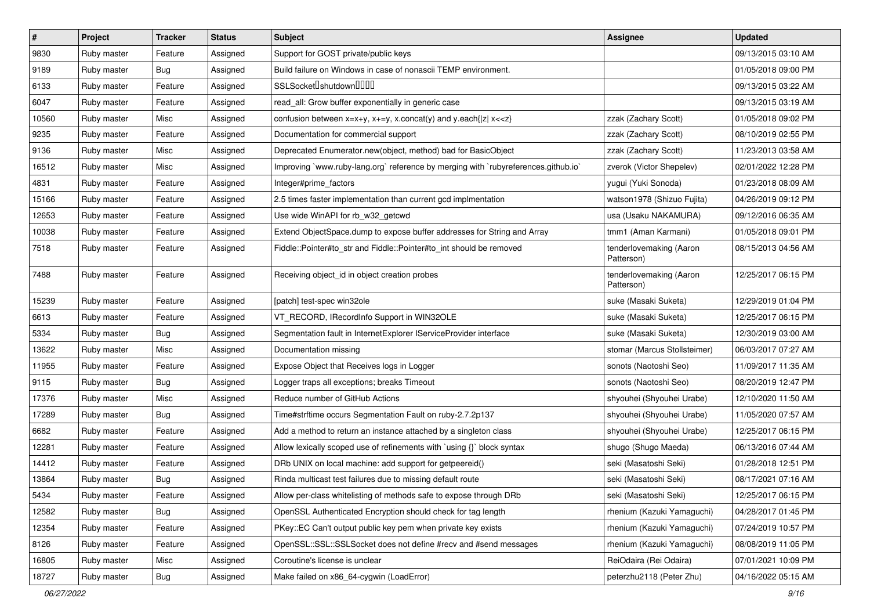| $\vert$ # | Project     | <b>Tracker</b> | <b>Status</b> | Subject                                                                            | <b>Assignee</b>                       | <b>Updated</b>      |
|-----------|-------------|----------------|---------------|------------------------------------------------------------------------------------|---------------------------------------|---------------------|
| 9830      | Ruby master | Feature        | Assigned      | Support for GOST private/public keys                                               |                                       | 09/13/2015 03:10 AM |
| 9189      | Ruby master | Bug            | Assigned      | Build failure on Windows in case of nonascii TEMP environment.                     |                                       | 01/05/2018 09:00 PM |
| 6133      | Ruby master | Feature        | Assigned      | SSLSocket <sup>[</sup> shutdown <sup>[11]</sup>                                    |                                       | 09/13/2015 03:22 AM |
| 6047      | Ruby master | Feature        | Assigned      | read_all: Grow buffer exponentially in generic case                                |                                       | 09/13/2015 03:19 AM |
| 10560     | Ruby master | Misc           | Assigned      | confusion between $x=x+y$ , $x+=y$ , x.concat(y) and y.each{ z  $x<}$              | zzak (Zachary Scott)                  | 01/05/2018 09:02 PM |
| 9235      | Ruby master | Feature        | Assigned      | Documentation for commercial support                                               | zzak (Zachary Scott)                  | 08/10/2019 02:55 PM |
| 9136      | Ruby master | Misc           | Assigned      | Deprecated Enumerator.new(object, method) bad for BasicObject                      | zzak (Zachary Scott)                  | 11/23/2013 03:58 AM |
| 16512     | Ruby master | Misc           | Assigned      | Improving `www.ruby-lang.org` reference by merging with `rubyreferences.github.io` | zverok (Victor Shepelev)              | 02/01/2022 12:28 PM |
| 4831      | Ruby master | Feature        | Assigned      | Integer#prime_factors                                                              | yugui (Yuki Sonoda)                   | 01/23/2018 08:09 AM |
| 15166     | Ruby master | Feature        | Assigned      | 2.5 times faster implementation than current gcd implmentation                     | watson1978 (Shizuo Fujita)            | 04/26/2019 09:12 PM |
| 12653     | Ruby master | Feature        | Assigned      | Use wide WinAPI for rb_w32_getcwd                                                  | usa (Usaku NAKAMURA)                  | 09/12/2016 06:35 AM |
| 10038     | Ruby master | Feature        | Assigned      | Extend ObjectSpace.dump to expose buffer addresses for String and Array            | tmm1 (Aman Karmani)                   | 01/05/2018 09:01 PM |
| 7518      | Ruby master | Feature        | Assigned      | Fiddle::Pointer#to_str and Fiddle::Pointer#to_int should be removed                | tenderlovemaking (Aaron<br>Patterson) | 08/15/2013 04:56 AM |
| 7488      | Ruby master | Feature        | Assigned      | Receiving object_id in object creation probes                                      | tenderlovemaking (Aaron<br>Patterson) | 12/25/2017 06:15 PM |
| 15239     | Ruby master | Feature        | Assigned      | [patch] test-spec win32ole                                                         | suke (Masaki Suketa)                  | 12/29/2019 01:04 PM |
| 6613      | Ruby master | Feature        | Assigned      | VT_RECORD, IRecordInfo Support in WIN32OLE                                         | suke (Masaki Suketa)                  | 12/25/2017 06:15 PM |
| 5334      | Ruby master | <b>Bug</b>     | Assigned      | Segmentation fault in InternetExplorer IServiceProvider interface                  | suke (Masaki Suketa)                  | 12/30/2019 03:00 AM |
| 13622     | Ruby master | Misc           | Assigned      | Documentation missing                                                              | stomar (Marcus Stollsteimer)          | 06/03/2017 07:27 AM |
| 11955     | Ruby master | Feature        | Assigned      | Expose Object that Receives logs in Logger                                         | sonots (Naotoshi Seo)                 | 11/09/2017 11:35 AM |
| 9115      | Ruby master | <b>Bug</b>     | Assigned      | Logger traps all exceptions; breaks Timeout                                        | sonots (Naotoshi Seo)                 | 08/20/2019 12:47 PM |
| 17376     | Ruby master | Misc           | Assigned      | Reduce number of GitHub Actions                                                    | shyouhei (Shyouhei Urabe)             | 12/10/2020 11:50 AM |
| 17289     | Ruby master | Bug            | Assigned      | Time#strftime occurs Segmentation Fault on ruby-2.7.2p137                          | shyouhei (Shyouhei Urabe)             | 11/05/2020 07:57 AM |
| 6682      | Ruby master | Feature        | Assigned      | Add a method to return an instance attached by a singleton class                   | shyouhei (Shyouhei Urabe)             | 12/25/2017 06:15 PM |
| 12281     | Ruby master | Feature        | Assigned      | Allow lexically scoped use of refinements with `using {}` block syntax             | shugo (Shugo Maeda)                   | 06/13/2016 07:44 AM |
| 14412     | Ruby master | Feature        | Assigned      | DRb UNIX on local machine: add support for getpeereid()                            | seki (Masatoshi Seki)                 | 01/28/2018 12:51 PM |
| 13864     | Ruby master | Bug            | Assigned      | Rinda multicast test failures due to missing default route                         | seki (Masatoshi Seki)                 | 08/17/2021 07:16 AM |
| 5434      | Ruby master | Feature        | Assigned      | Allow per-class whitelisting of methods safe to expose through DRb                 | seki (Masatoshi Seki)                 | 12/25/2017 06:15 PM |
| 12582     | Ruby master | <b>Bug</b>     | Assigned      | OpenSSL Authenticated Encryption should check for tag length                       | rhenium (Kazuki Yamaguchi)            | 04/28/2017 01:45 PM |
| 12354     | Ruby master | Feature        | Assigned      | PKey::EC Can't output public key pem when private key exists                       | rhenium (Kazuki Yamaguchi)            | 07/24/2019 10:57 PM |
| 8126      | Ruby master | Feature        | Assigned      | OpenSSL::SSL::SSLSocket does not define #recv and #send messages                   | rhenium (Kazuki Yamaguchi)            | 08/08/2019 11:05 PM |
| 16805     | Ruby master | Misc           | Assigned      | Coroutine's license is unclear                                                     | ReiOdaira (Rei Odaira)                | 07/01/2021 10:09 PM |
| 18727     | Ruby master | Bug            | Assigned      | Make failed on x86_64-cygwin (LoadError)                                           | peterzhu2118 (Peter Zhu)              | 04/16/2022 05:15 AM |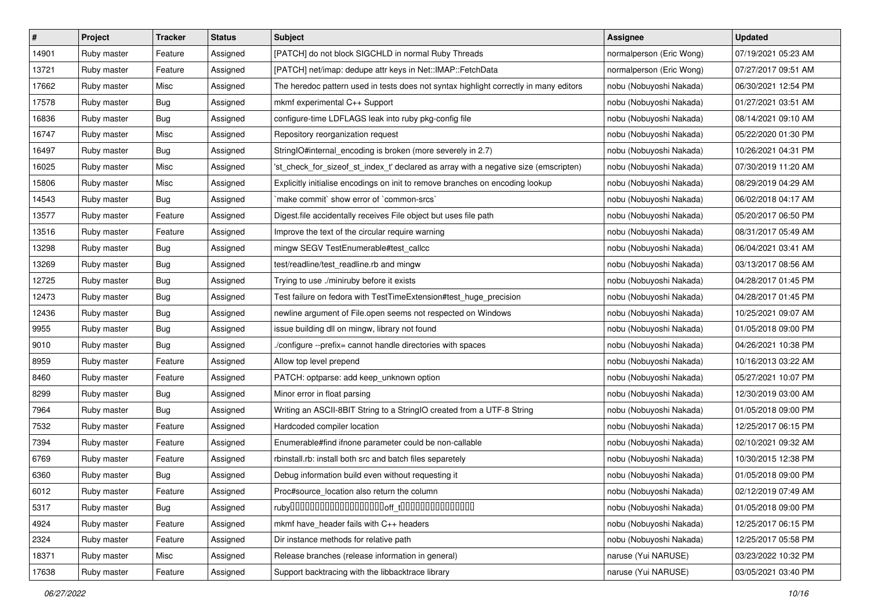| $\sharp$ | Project     | <b>Tracker</b> | <b>Status</b> | Subject                                                                               | Assignee                 | <b>Updated</b>      |
|----------|-------------|----------------|---------------|---------------------------------------------------------------------------------------|--------------------------|---------------------|
| 14901    | Ruby master | Feature        | Assigned      | [PATCH] do not block SIGCHLD in normal Ruby Threads                                   | normalperson (Eric Wong) | 07/19/2021 05:23 AM |
| 13721    | Ruby master | Feature        | Assigned      | [PATCH] net/imap: dedupe attr keys in Net::IMAP::FetchData                            | normalperson (Eric Wong) | 07/27/2017 09:51 AM |
| 17662    | Ruby master | Misc           | Assigned      | The heredoc pattern used in tests does not syntax highlight correctly in many editors | nobu (Nobuyoshi Nakada)  | 06/30/2021 12:54 PM |
| 17578    | Ruby master | Bug            | Assigned      | mkmf experimental C++ Support                                                         | nobu (Nobuyoshi Nakada)  | 01/27/2021 03:51 AM |
| 16836    | Ruby master | <b>Bug</b>     | Assigned      | configure-time LDFLAGS leak into ruby pkg-config file                                 | nobu (Nobuyoshi Nakada)  | 08/14/2021 09:10 AM |
| 16747    | Ruby master | Misc           | Assigned      | Repository reorganization request                                                     | nobu (Nobuyoshi Nakada)  | 05/22/2020 01:30 PM |
| 16497    | Ruby master | Bug            | Assigned      | StringIO#internal_encoding is broken (more severely in 2.7)                           | nobu (Nobuyoshi Nakada)  | 10/26/2021 04:31 PM |
| 16025    | Ruby master | Misc           | Assigned      | 'st_check_for_sizeof_st_index_t' declared as array with a negative size (emscripten)  | nobu (Nobuyoshi Nakada)  | 07/30/2019 11:20 AM |
| 15806    | Ruby master | Misc           | Assigned      | Explicitly initialise encodings on init to remove branches on encoding lookup         | nobu (Nobuyoshi Nakada)  | 08/29/2019 04:29 AM |
| 14543    | Ruby master | Bug            | Assigned      | 'make commit' show error of 'common-srcs'                                             | nobu (Nobuyoshi Nakada)  | 06/02/2018 04:17 AM |
| 13577    | Ruby master | Feature        | Assigned      | Digest file accidentally receives File object but uses file path                      | nobu (Nobuyoshi Nakada)  | 05/20/2017 06:50 PM |
| 13516    | Ruby master | Feature        | Assigned      | Improve the text of the circular require warning                                      | nobu (Nobuyoshi Nakada)  | 08/31/2017 05:49 AM |
| 13298    | Ruby master | <b>Bug</b>     | Assigned      | mingw SEGV TestEnumerable#test_callcc                                                 | nobu (Nobuyoshi Nakada)  | 06/04/2021 03:41 AM |
| 13269    | Ruby master | <b>Bug</b>     | Assigned      | test/readline/test_readline.rb and mingw                                              | nobu (Nobuyoshi Nakada)  | 03/13/2017 08:56 AM |
| 12725    | Ruby master | <b>Bug</b>     | Assigned      | Trying to use ./miniruby before it exists                                             | nobu (Nobuyoshi Nakada)  | 04/28/2017 01:45 PM |
| 12473    | Ruby master | Bug            | Assigned      | Test failure on fedora with TestTimeExtension#test_huge_precision                     | nobu (Nobuyoshi Nakada)  | 04/28/2017 01:45 PM |
| 12436    | Ruby master | Bug            | Assigned      | newline argument of File.open seems not respected on Windows                          | nobu (Nobuyoshi Nakada)  | 10/25/2021 09:07 AM |
| 9955     | Ruby master | Bug            | Assigned      | issue building dll on mingw, library not found                                        | nobu (Nobuyoshi Nakada)  | 01/05/2018 09:00 PM |
| 9010     | Ruby master | Bug            | Assigned      | ./configure --prefix= cannot handle directories with spaces                           | nobu (Nobuyoshi Nakada)  | 04/26/2021 10:38 PM |
| 8959     | Ruby master | Feature        | Assigned      | Allow top level prepend                                                               | nobu (Nobuyoshi Nakada)  | 10/16/2013 03:22 AM |
| 8460     | Ruby master | Feature        | Assigned      | PATCH: optparse: add keep_unknown option                                              | nobu (Nobuyoshi Nakada)  | 05/27/2021 10:07 PM |
| 8299     | Ruby master | <b>Bug</b>     | Assigned      | Minor error in float parsing                                                          | nobu (Nobuyoshi Nakada)  | 12/30/2019 03:00 AM |
| 7964     | Ruby master | Bug            | Assigned      | Writing an ASCII-8BIT String to a StringIO created from a UTF-8 String                | nobu (Nobuyoshi Nakada)  | 01/05/2018 09:00 PM |
| 7532     | Ruby master | Feature        | Assigned      | Hardcoded compiler location                                                           | nobu (Nobuyoshi Nakada)  | 12/25/2017 06:15 PM |
| 7394     | Ruby master | Feature        | Assigned      | Enumerable#find ifnone parameter could be non-callable                                | nobu (Nobuyoshi Nakada)  | 02/10/2021 09:32 AM |
| 6769     | Ruby master | Feature        | Assigned      | rbinstall.rb: install both src and batch files separetely                             | nobu (Nobuyoshi Nakada)  | 10/30/2015 12:38 PM |
| 6360     | Ruby master | <b>Bug</b>     | Assigned      | Debug information build even without requesting it                                    | nobu (Nobuyoshi Nakada)  | 01/05/2018 09:00 PM |
| 6012     | Ruby master | Feature        | Assigned      | Proc#source_location also return the column                                           | nobu (Nobuyoshi Nakada)  | 02/12/2019 07:49 AM |
| 5317     | Ruby master | Bug            | Assigned      |                                                                                       | nobu (Nobuyoshi Nakada)  | 01/05/2018 09:00 PM |
| 4924     | Ruby master | Feature        | Assigned      | mkmf have_header fails with C++ headers                                               | nobu (Nobuyoshi Nakada)  | 12/25/2017 06:15 PM |
| 2324     | Ruby master | Feature        | Assigned      | Dir instance methods for relative path                                                | nobu (Nobuyoshi Nakada)  | 12/25/2017 05:58 PM |
| 18371    | Ruby master | Misc           | Assigned      | Release branches (release information in general)                                     | naruse (Yui NARUSE)      | 03/23/2022 10:32 PM |
| 17638    | Ruby master | Feature        | Assigned      | Support backtracing with the libbacktrace library                                     | naruse (Yui NARUSE)      | 03/05/2021 03:40 PM |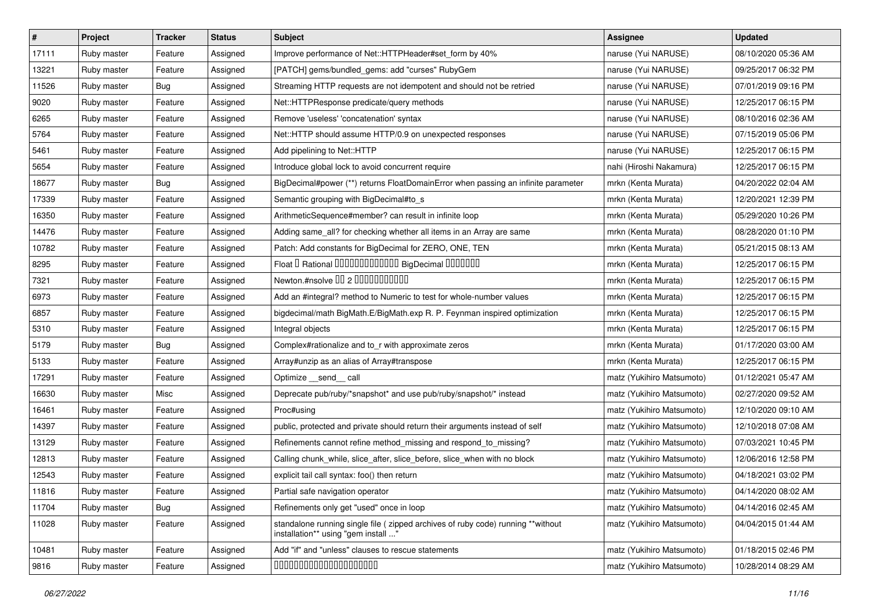| $\vert$ # | Project     | <b>Tracker</b> | <b>Status</b> | <b>Subject</b>                                                                                                          | <b>Assignee</b>           | <b>Updated</b>      |
|-----------|-------------|----------------|---------------|-------------------------------------------------------------------------------------------------------------------------|---------------------------|---------------------|
| 17111     | Ruby master | Feature        | Assigned      | Improve performance of Net::HTTPHeader#set form by 40%                                                                  | naruse (Yui NARUSE)       | 08/10/2020 05:36 AM |
| 13221     | Ruby master | Feature        | Assigned      | [PATCH] gems/bundled_gems: add "curses" RubyGem                                                                         | naruse (Yui NARUSE)       | 09/25/2017 06:32 PM |
| 11526     | Ruby master | Bug            | Assigned      | Streaming HTTP requests are not idempotent and should not be retried                                                    | naruse (Yui NARUSE)       | 07/01/2019 09:16 PM |
| 9020      | Ruby master | Feature        | Assigned      | Net::HTTPResponse predicate/query methods                                                                               | naruse (Yui NARUSE)       | 12/25/2017 06:15 PM |
| 6265      | Ruby master | Feature        | Assigned      | Remove 'useless' 'concatenation' syntax                                                                                 | naruse (Yui NARUSE)       | 08/10/2016 02:36 AM |
| 5764      | Ruby master | Feature        | Assigned      | Net::HTTP should assume HTTP/0.9 on unexpected responses                                                                | naruse (Yui NARUSE)       | 07/15/2019 05:06 PM |
| 5461      | Ruby master | Feature        | Assigned      | Add pipelining to Net::HTTP                                                                                             | naruse (Yui NARUSE)       | 12/25/2017 06:15 PM |
| 5654      | Ruby master | Feature        | Assigned      | Introduce global lock to avoid concurrent require                                                                       | nahi (Hiroshi Nakamura)   | 12/25/2017 06:15 PM |
| 18677     | Ruby master | Bug            | Assigned      | BigDecimal#power (**) returns FloatDomainError when passing an infinite parameter                                       | mrkn (Kenta Murata)       | 04/20/2022 02:04 AM |
| 17339     | Ruby master | Feature        | Assigned      | Semantic grouping with BigDecimal#to_s                                                                                  | mrkn (Kenta Murata)       | 12/20/2021 12:39 PM |
| 16350     | Ruby master | Feature        | Assigned      | ArithmeticSequence#member? can result in infinite loop                                                                  | mrkn (Kenta Murata)       | 05/29/2020 10:26 PM |
| 14476     | Ruby master | Feature        | Assigned      | Adding same_all? for checking whether all items in an Array are same                                                    | mrkn (Kenta Murata)       | 08/28/2020 01:10 PM |
| 10782     | Ruby master | Feature        | Assigned      | Patch: Add constants for BigDecimal for ZERO, ONE, TEN                                                                  | mrkn (Kenta Murata)       | 05/21/2015 08:13 AM |
| 8295      | Ruby master | Feature        | Assigned      | Float I Rational IIIIIIIIIIIIIIIIIIII BigDecimal IIIIIIIIII                                                             | mrkn (Kenta Murata)       | 12/25/2017 06:15 PM |
| 7321      | Ruby master | Feature        | Assigned      | Newton.#nsolve 00 2 0000000000                                                                                          | mrkn (Kenta Murata)       | 12/25/2017 06:15 PM |
| 6973      | Ruby master | Feature        | Assigned      | Add an #integral? method to Numeric to test for whole-number values                                                     | mrkn (Kenta Murata)       | 12/25/2017 06:15 PM |
| 6857      | Ruby master | Feature        | Assigned      | bigdecimal/math BigMath.E/BigMath.exp R. P. Feynman inspired optimization                                               | mrkn (Kenta Murata)       | 12/25/2017 06:15 PM |
| 5310      | Ruby master | Feature        | Assigned      | Integral objects                                                                                                        | mrkn (Kenta Murata)       | 12/25/2017 06:15 PM |
| 5179      | Ruby master | Bug            | Assigned      | Complex#rationalize and to_r with approximate zeros                                                                     | mrkn (Kenta Murata)       | 01/17/2020 03:00 AM |
| 5133      | Ruby master | Feature        | Assigned      | Array#unzip as an alias of Array#transpose                                                                              | mrkn (Kenta Murata)       | 12/25/2017 06:15 PM |
| 17291     | Ruby master | Feature        | Assigned      | Optimize send call                                                                                                      | matz (Yukihiro Matsumoto) | 01/12/2021 05:47 AM |
| 16630     | Ruby master | Misc           | Assigned      | Deprecate pub/ruby/*snapshot* and use pub/ruby/snapshot/* instead                                                       | matz (Yukihiro Matsumoto) | 02/27/2020 09:52 AM |
| 16461     | Ruby master | Feature        | Assigned      | Proc#using                                                                                                              | matz (Yukihiro Matsumoto) | 12/10/2020 09:10 AM |
| 14397     | Ruby master | Feature        | Assigned      | public, protected and private should return their arguments instead of self                                             | matz (Yukihiro Matsumoto) | 12/10/2018 07:08 AM |
| 13129     | Ruby master | Feature        | Assigned      | Refinements cannot refine method_missing and respond_to_missing?                                                        | matz (Yukihiro Matsumoto) | 07/03/2021 10:45 PM |
| 12813     | Ruby master | Feature        | Assigned      | Calling chunk_while, slice_after, slice_before, slice_when with no block                                                | matz (Yukihiro Matsumoto) | 12/06/2016 12:58 PM |
| 12543     | Ruby master | Feature        | Assigned      | explicit tail call syntax: foo() then return                                                                            | matz (Yukihiro Matsumoto) | 04/18/2021 03:02 PM |
| 11816     | Ruby master | Feature        | Assigned      | Partial safe navigation operator                                                                                        | matz (Yukihiro Matsumoto) | 04/14/2020 08:02 AM |
| 11704     | Ruby master | Bug            | Assigned      | Refinements only get "used" once in loop                                                                                | matz (Yukihiro Matsumoto) | 04/14/2016 02:45 AM |
| 11028     | Ruby master | Feature        | Assigned      | standalone running single file ( zipped archives of ruby code) running **without<br>installation** using "gem install " | matz (Yukihiro Matsumoto) | 04/04/2015 01:44 AM |
| 10481     | Ruby master | Feature        | Assigned      | Add "if" and "unless" clauses to rescue statements                                                                      | matz (Yukihiro Matsumoto) | 01/18/2015 02:46 PM |
| 9816      | Ruby master | Feature        | Assigned      | 00000000000000000000                                                                                                    | matz (Yukihiro Matsumoto) | 10/28/2014 08:29 AM |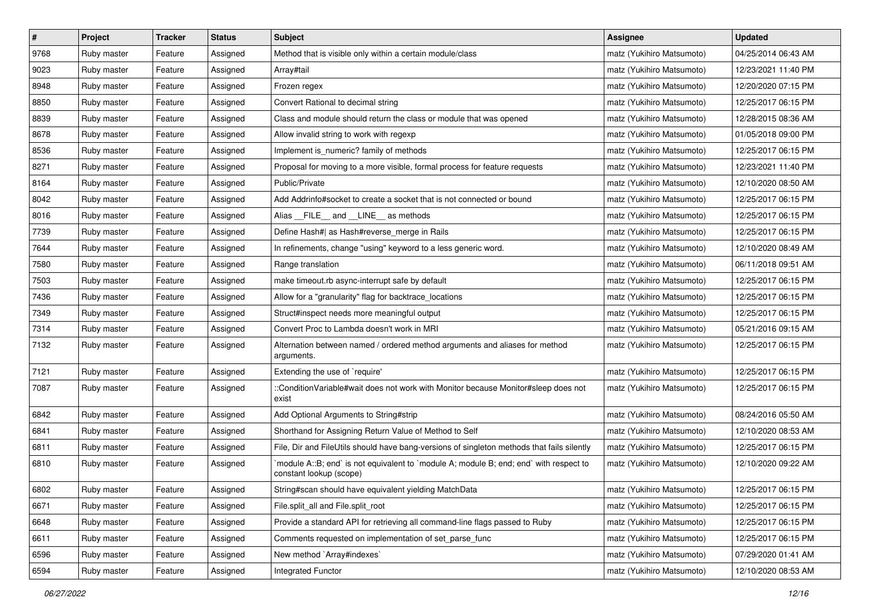| $\sharp$ | Project     | <b>Tracker</b> | <b>Status</b> | <b>Subject</b>                                                                                                    | Assignee                  | <b>Updated</b>      |
|----------|-------------|----------------|---------------|-------------------------------------------------------------------------------------------------------------------|---------------------------|---------------------|
| 9768     | Ruby master | Feature        | Assigned      | Method that is visible only within a certain module/class                                                         | matz (Yukihiro Matsumoto) | 04/25/2014 06:43 AM |
| 9023     | Ruby master | Feature        | Assigned      | Array#tail                                                                                                        | matz (Yukihiro Matsumoto) | 12/23/2021 11:40 PM |
| 8948     | Ruby master | Feature        | Assigned      | Frozen regex                                                                                                      | matz (Yukihiro Matsumoto) | 12/20/2020 07:15 PM |
| 8850     | Ruby master | Feature        | Assigned      | Convert Rational to decimal string                                                                                | matz (Yukihiro Matsumoto) | 12/25/2017 06:15 PM |
| 8839     | Ruby master | Feature        | Assigned      | Class and module should return the class or module that was opened                                                | matz (Yukihiro Matsumoto) | 12/28/2015 08:36 AM |
| 8678     | Ruby master | Feature        | Assigned      | Allow invalid string to work with regexp                                                                          | matz (Yukihiro Matsumoto) | 01/05/2018 09:00 PM |
| 8536     | Ruby master | Feature        | Assigned      | Implement is_numeric? family of methods                                                                           | matz (Yukihiro Matsumoto) | 12/25/2017 06:15 PM |
| 8271     | Ruby master | Feature        | Assigned      | Proposal for moving to a more visible, formal process for feature requests                                        | matz (Yukihiro Matsumoto) | 12/23/2021 11:40 PM |
| 8164     | Ruby master | Feature        | Assigned      | Public/Private                                                                                                    | matz (Yukihiro Matsumoto) | 12/10/2020 08:50 AM |
| 8042     | Ruby master | Feature        | Assigned      | Add Addrinfo#socket to create a socket that is not connected or bound                                             | matz (Yukihiro Matsumoto) | 12/25/2017 06:15 PM |
| 8016     | Ruby master | Feature        | Assigned      | Alias __FILE__ and __LINE__ as methods                                                                            | matz (Yukihiro Matsumoto) | 12/25/2017 06:15 PM |
| 7739     | Ruby master | Feature        | Assigned      | Define Hash#  as Hash#reverse_merge in Rails                                                                      | matz (Yukihiro Matsumoto) | 12/25/2017 06:15 PM |
| 7644     | Ruby master | Feature        | Assigned      | In refinements, change "using" keyword to a less generic word.                                                    | matz (Yukihiro Matsumoto) | 12/10/2020 08:49 AM |
| 7580     | Ruby master | Feature        | Assigned      | Range translation                                                                                                 | matz (Yukihiro Matsumoto) | 06/11/2018 09:51 AM |
| 7503     | Ruby master | Feature        | Assigned      | make timeout.rb async-interrupt safe by default                                                                   | matz (Yukihiro Matsumoto) | 12/25/2017 06:15 PM |
| 7436     | Ruby master | Feature        | Assigned      | Allow for a "granularity" flag for backtrace_locations                                                            | matz (Yukihiro Matsumoto) | 12/25/2017 06:15 PM |
| 7349     | Ruby master | Feature        | Assigned      | Struct#inspect needs more meaningful output                                                                       | matz (Yukihiro Matsumoto) | 12/25/2017 06:15 PM |
| 7314     | Ruby master | Feature        | Assigned      | Convert Proc to Lambda doesn't work in MRI                                                                        | matz (Yukihiro Matsumoto) | 05/21/2016 09:15 AM |
| 7132     | Ruby master | Feature        | Assigned      | Alternation between named / ordered method arguments and aliases for method<br>arguments.                         | matz (Yukihiro Matsumoto) | 12/25/2017 06:15 PM |
| 7121     | Ruby master | Feature        | Assigned      | Extending the use of `require'                                                                                    | matz (Yukihiro Matsumoto) | 12/25/2017 06:15 PM |
| 7087     | Ruby master | Feature        | Assigned      | ::ConditionVariable#wait does not work with Monitor because Monitor#sleep does not<br>exist                       | matz (Yukihiro Matsumoto) | 12/25/2017 06:15 PM |
| 6842     | Ruby master | Feature        | Assigned      | Add Optional Arguments to String#strip                                                                            | matz (Yukihiro Matsumoto) | 08/24/2016 05:50 AM |
| 6841     | Ruby master | Feature        | Assigned      | Shorthand for Assigning Return Value of Method to Self                                                            | matz (Yukihiro Matsumoto) | 12/10/2020 08:53 AM |
| 6811     | Ruby master | Feature        | Assigned      | File, Dir and FileUtils should have bang-versions of singleton methods that fails silently                        | matz (Yukihiro Matsumoto) | 12/25/2017 06:15 PM |
| 6810     | Ruby master | Feature        | Assigned      | `module A::B; end` is not equivalent to `module A; module B; end; end` with respect to<br>constant lookup (scope) | matz (Yukihiro Matsumoto) | 12/10/2020 09:22 AM |
| 6802     | Ruby master | Feature        | Assigned      | String#scan should have equivalent yielding MatchData                                                             | matz (Yukihiro Matsumoto) | 12/25/2017 06:15 PM |
| 6671     | Ruby master | Feature        | Assigned      | File.split_all and File.split_root                                                                                | matz (Yukihiro Matsumoto) | 12/25/2017 06:15 PM |
| 6648     | Ruby master | Feature        | Assigned      | Provide a standard API for retrieving all command-line flags passed to Ruby                                       | matz (Yukihiro Matsumoto) | 12/25/2017 06:15 PM |
| 6611     | Ruby master | Feature        | Assigned      | Comments requested on implementation of set_parse_func                                                            | matz (Yukihiro Matsumoto) | 12/25/2017 06:15 PM |
| 6596     | Ruby master | Feature        | Assigned      | New method `Array#indexes`                                                                                        | matz (Yukihiro Matsumoto) | 07/29/2020 01:41 AM |
| 6594     | Ruby master | Feature        | Assigned      | Integrated Functor                                                                                                | matz (Yukihiro Matsumoto) | 12/10/2020 08:53 AM |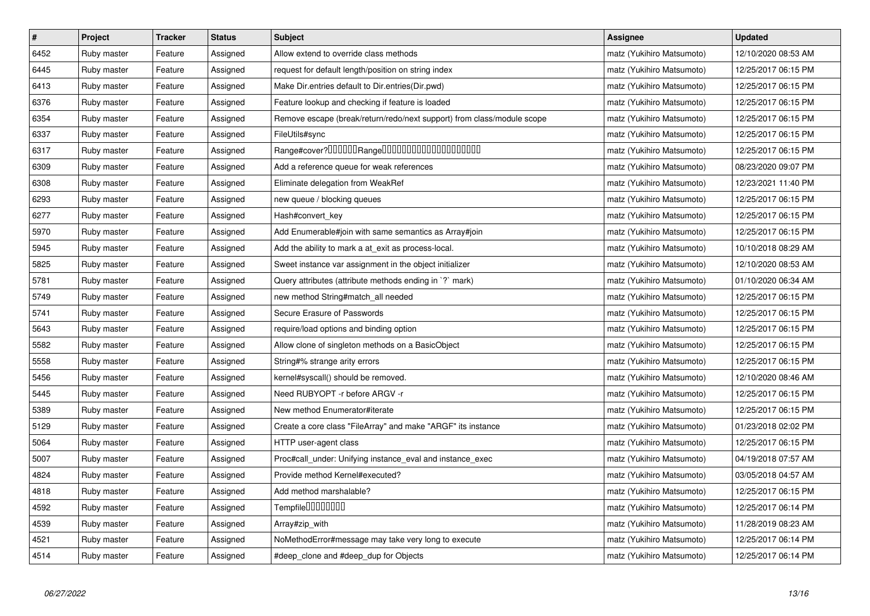| $\vert$ # | <b>Project</b> | <b>Tracker</b> | <b>Status</b> | <b>Subject</b>                                                         | Assignee                  | <b>Updated</b>      |
|-----------|----------------|----------------|---------------|------------------------------------------------------------------------|---------------------------|---------------------|
| 6452      | Ruby master    | Feature        | Assigned      | Allow extend to override class methods                                 | matz (Yukihiro Matsumoto) | 12/10/2020 08:53 AM |
| 6445      | Ruby master    | Feature        | Assigned      | request for default length/position on string index                    | matz (Yukihiro Matsumoto) | 12/25/2017 06:15 PM |
| 6413      | Ruby master    | Feature        | Assigned      | Make Dir.entries default to Dir.entries(Dir.pwd)                       | matz (Yukihiro Matsumoto) | 12/25/2017 06:15 PM |
| 6376      | Ruby master    | Feature        | Assigned      | Feature lookup and checking if feature is loaded                       | matz (Yukihiro Matsumoto) | 12/25/2017 06:15 PM |
| 6354      | Ruby master    | Feature        | Assigned      | Remove escape (break/return/redo/next support) from class/module scope | matz (Yukihiro Matsumoto) | 12/25/2017 06:15 PM |
| 6337      | Ruby master    | Feature        | Assigned      | FileUtils#sync                                                         | matz (Yukihiro Matsumoto) | 12/25/2017 06:15 PM |
| 6317      | Ruby master    | Feature        | Assigned      | Range#cover?000000Range00000000000000000000                            | matz (Yukihiro Matsumoto) | 12/25/2017 06:15 PM |
| 6309      | Ruby master    | Feature        | Assigned      | Add a reference queue for weak references                              | matz (Yukihiro Matsumoto) | 08/23/2020 09:07 PM |
| 6308      | Ruby master    | Feature        | Assigned      | Eliminate delegation from WeakRef                                      | matz (Yukihiro Matsumoto) | 12/23/2021 11:40 PM |
| 6293      | Ruby master    | Feature        | Assigned      | new queue / blocking queues                                            | matz (Yukihiro Matsumoto) | 12/25/2017 06:15 PM |
| 6277      | Ruby master    | Feature        | Assigned      | Hash#convert_key                                                       | matz (Yukihiro Matsumoto) | 12/25/2017 06:15 PM |
| 5970      | Ruby master    | Feature        | Assigned      | Add Enumerable#join with same semantics as Array#join                  | matz (Yukihiro Matsumoto) | 12/25/2017 06:15 PM |
| 5945      | Ruby master    | Feature        | Assigned      | Add the ability to mark a at_exit as process-local.                    | matz (Yukihiro Matsumoto) | 10/10/2018 08:29 AM |
| 5825      | Ruby master    | Feature        | Assigned      | Sweet instance var assignment in the object initializer                | matz (Yukihiro Matsumoto) | 12/10/2020 08:53 AM |
| 5781      | Ruby master    | Feature        | Assigned      | Query attributes (attribute methods ending in `?` mark)                | matz (Yukihiro Matsumoto) | 01/10/2020 06:34 AM |
| 5749      | Ruby master    | Feature        | Assigned      | new method String#match_all needed                                     | matz (Yukihiro Matsumoto) | 12/25/2017 06:15 PM |
| 5741      | Ruby master    | Feature        | Assigned      | Secure Erasure of Passwords                                            | matz (Yukihiro Matsumoto) | 12/25/2017 06:15 PM |
| 5643      | Ruby master    | Feature        | Assigned      | require/load options and binding option                                | matz (Yukihiro Matsumoto) | 12/25/2017 06:15 PM |
| 5582      | Ruby master    | Feature        | Assigned      | Allow clone of singleton methods on a BasicObject                      | matz (Yukihiro Matsumoto) | 12/25/2017 06:15 PM |
| 5558      | Ruby master    | Feature        | Assigned      | String#% strange arity errors                                          | matz (Yukihiro Matsumoto) | 12/25/2017 06:15 PM |
| 5456      | Ruby master    | Feature        | Assigned      | kernel#syscall() should be removed.                                    | matz (Yukihiro Matsumoto) | 12/10/2020 08:46 AM |
| 5445      | Ruby master    | Feature        | Assigned      | Need RUBYOPT -r before ARGV -r                                         | matz (Yukihiro Matsumoto) | 12/25/2017 06:15 PM |
| 5389      | Ruby master    | Feature        | Assigned      | New method Enumerator#iterate                                          | matz (Yukihiro Matsumoto) | 12/25/2017 06:15 PM |
| 5129      | Ruby master    | Feature        | Assigned      | Create a core class "FileArray" and make "ARGF" its instance           | matz (Yukihiro Matsumoto) | 01/23/2018 02:02 PM |
| 5064      | Ruby master    | Feature        | Assigned      | HTTP user-agent class                                                  | matz (Yukihiro Matsumoto) | 12/25/2017 06:15 PM |
| 5007      | Ruby master    | Feature        | Assigned      | Proc#call_under: Unifying instance_eval and instance_exec              | matz (Yukihiro Matsumoto) | 04/19/2018 07:57 AM |
| 4824      | Ruby master    | Feature        | Assigned      | Provide method Kernel#executed?                                        | matz (Yukihiro Matsumoto) | 03/05/2018 04:57 AM |
| 4818      | Ruby master    | Feature        | Assigned      | Add method marshalable?                                                | matz (Yukihiro Matsumoto) | 12/25/2017 06:15 PM |
| 4592      | Ruby master    | Feature        | Assigned      | Tempfile0000000                                                        | matz (Yukihiro Matsumoto) | 12/25/2017 06:14 PM |
| 4539      | Ruby master    | Feature        | Assigned      | Array#zip_with                                                         | matz (Yukihiro Matsumoto) | 11/28/2019 08:23 AM |
| 4521      | Ruby master    | Feature        | Assigned      | NoMethodError#message may take very long to execute                    | matz (Yukihiro Matsumoto) | 12/25/2017 06:14 PM |
| 4514      | Ruby master    | Feature        | Assigned      | #deep clone and #deep dup for Objects                                  | matz (Yukihiro Matsumoto) | 12/25/2017 06:14 PM |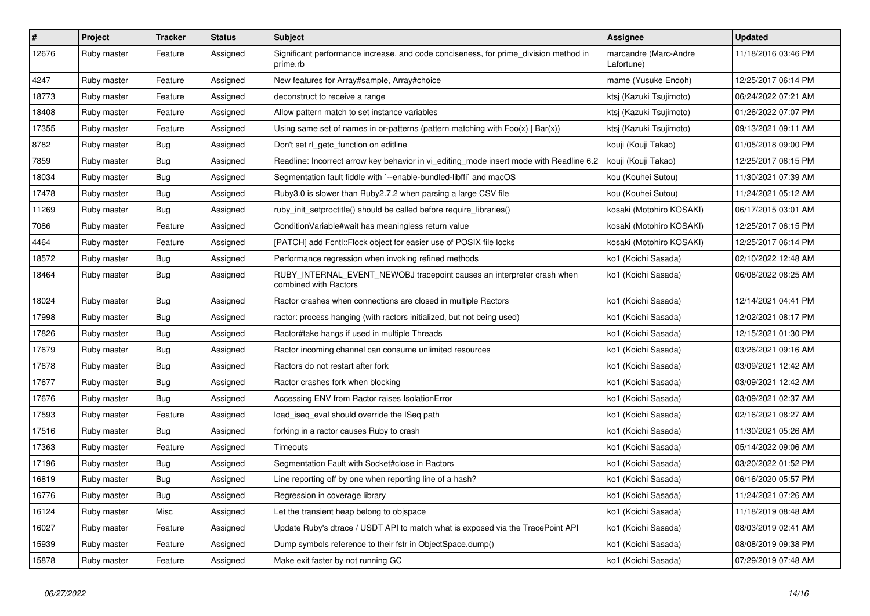| $\pmb{\#}$ | Project     | <b>Tracker</b> | <b>Status</b> | <b>Subject</b>                                                                                   | <b>Assignee</b>                     | <b>Updated</b>      |
|------------|-------------|----------------|---------------|--------------------------------------------------------------------------------------------------|-------------------------------------|---------------------|
| 12676      | Ruby master | Feature        | Assigned      | Significant performance increase, and code conciseness, for prime_division method in<br>prime.rb | marcandre (Marc-Andre<br>Lafortune) | 11/18/2016 03:46 PM |
| 4247       | Ruby master | Feature        | Assigned      | New features for Array#sample, Array#choice                                                      | mame (Yusuke Endoh)                 | 12/25/2017 06:14 PM |
| 18773      | Ruby master | Feature        | Assigned      | deconstruct to receive a range                                                                   | ktsį (Kazuki Tsujimoto)             | 06/24/2022 07:21 AM |
| 18408      | Ruby master | Feature        | Assigned      | Allow pattern match to set instance variables                                                    | ktsį (Kazuki Tsujimoto)             | 01/26/2022 07:07 PM |
| 17355      | Ruby master | Feature        | Assigned      | Using same set of names in or-patterns (pattern matching with $Foo(x)   Bar(x)$ )                | ktsj (Kazuki Tsujimoto)             | 09/13/2021 09:11 AM |
| 8782       | Ruby master | <b>Bug</b>     | Assigned      | Don't set rl getc function on editline                                                           | kouji (Kouji Takao)                 | 01/05/2018 09:00 PM |
| 7859       | Ruby master | Bug            | Assigned      | Readline: Incorrect arrow key behavior in vi editing mode insert mode with Readline 6.2          | kouji (Kouji Takao)                 | 12/25/2017 06:15 PM |
| 18034      | Ruby master | <b>Bug</b>     | Assigned      | Segmentation fault fiddle with `--enable-bundled-libffi` and macOS                               | kou (Kouhei Sutou)                  | 11/30/2021 07:39 AM |
| 17478      | Ruby master | <b>Bug</b>     | Assigned      | Ruby3.0 is slower than Ruby2.7.2 when parsing a large CSV file                                   | kou (Kouhei Sutou)                  | 11/24/2021 05:12 AM |
| 11269      | Ruby master | <b>Bug</b>     | Assigned      | ruby_init_setproctitle() should be called before require_libraries()                             | kosaki (Motohiro KOSAKI)            | 06/17/2015 03:01 AM |
| 7086       | Ruby master | Feature        | Assigned      | ConditionVariable#wait has meaningless return value                                              | kosaki (Motohiro KOSAKI)            | 12/25/2017 06:15 PM |
| 4464       | Ruby master | Feature        | Assigned      | [PATCH] add Fcntl::Flock object for easier use of POSIX file locks                               | kosaki (Motohiro KOSAKI)            | 12/25/2017 06:14 PM |
| 18572      | Ruby master | Bug            | Assigned      | Performance regression when invoking refined methods                                             | ko1 (Koichi Sasada)                 | 02/10/2022 12:48 AM |
| 18464      | Ruby master | <b>Bug</b>     | Assigned      | RUBY INTERNAL EVENT NEWOBJ tracepoint causes an interpreter crash when<br>combined with Ractors  | ko1 (Koichi Sasada)                 | 06/08/2022 08:25 AM |
| 18024      | Ruby master | Bug            | Assigned      | Ractor crashes when connections are closed in multiple Ractors                                   | ko1 (Koichi Sasada)                 | 12/14/2021 04:41 PM |
| 17998      | Ruby master | Bug            | Assigned      | ractor: process hanging (with ractors initialized, but not being used)                           | ko1 (Koichi Sasada)                 | 12/02/2021 08:17 PM |
| 17826      | Ruby master | <b>Bug</b>     | Assigned      | Ractor#take hangs if used in multiple Threads                                                    | ko1 (Koichi Sasada)                 | 12/15/2021 01:30 PM |
| 17679      | Ruby master | Bug            | Assigned      | Ractor incoming channel can consume unlimited resources                                          | ko1 (Koichi Sasada)                 | 03/26/2021 09:16 AM |
| 17678      | Ruby master | Bug            | Assigned      | Ractors do not restart after fork                                                                | ko1 (Koichi Sasada)                 | 03/09/2021 12:42 AM |
| 17677      | Ruby master | Bug            | Assigned      | Ractor crashes fork when blocking                                                                | ko1 (Koichi Sasada)                 | 03/09/2021 12:42 AM |
| 17676      | Ruby master | <b>Bug</b>     | Assigned      | Accessing ENV from Ractor raises IsolationError                                                  | ko1 (Koichi Sasada)                 | 03/09/2021 02:37 AM |
| 17593      | Ruby master | Feature        | Assigned      | load_iseq_eval should override the ISeq path                                                     | ko1 (Koichi Sasada)                 | 02/16/2021 08:27 AM |
| 17516      | Ruby master | Bug            | Assigned      | forking in a ractor causes Ruby to crash                                                         | ko1 (Koichi Sasada)                 | 11/30/2021 05:26 AM |
| 17363      | Ruby master | Feature        | Assigned      | Timeouts                                                                                         | ko1 (Koichi Sasada)                 | 05/14/2022 09:06 AM |
| 17196      | Ruby master | Bug            | Assigned      | Segmentation Fault with Socket#close in Ractors                                                  | ko1 (Koichi Sasada)                 | 03/20/2022 01:52 PM |
| 16819      | Ruby master | <b>Bug</b>     | Assigned      | Line reporting off by one when reporting line of a hash?                                         | ko1 (Koichi Sasada)                 | 06/16/2020 05:57 PM |
| 16776      | Ruby master | <b>Bug</b>     | Assigned      | Regression in coverage library                                                                   | ko1 (Koichi Sasada)                 | 11/24/2021 07:26 AM |
| 16124      | Ruby master | <b>Misc</b>    | Assigned      | Let the transient heap belong to objspace                                                        | ko1 (Koichi Sasada)                 | 11/18/2019 08:48 AM |
| 16027      | Ruby master | Feature        | Assigned      | Update Ruby's dtrace / USDT API to match what is exposed via the TracePoint API                  | ko1 (Koichi Sasada)                 | 08/03/2019 02:41 AM |
| 15939      | Ruby master | Feature        | Assigned      | Dump symbols reference to their fstr in ObjectSpace.dump()                                       | ko1 (Koichi Sasada)                 | 08/08/2019 09:38 PM |
| 15878      | Ruby master | Feature        | Assigned      | Make exit faster by not running GC                                                               | ko1 (Koichi Sasada)                 | 07/29/2019 07:48 AM |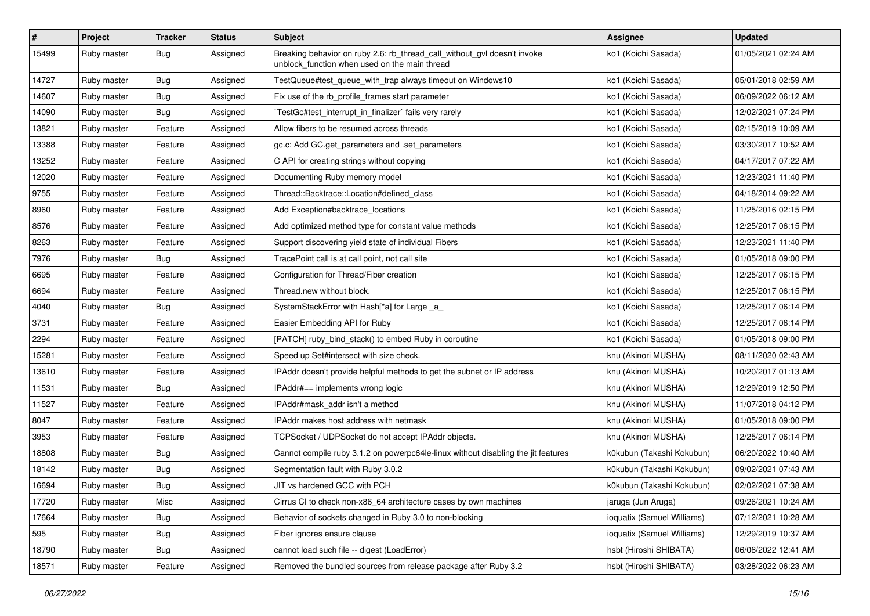| #     | Project     | <b>Tracker</b> | <b>Status</b> | <b>Subject</b>                                                                                                            | Assignee                   | <b>Updated</b>      |
|-------|-------------|----------------|---------------|---------------------------------------------------------------------------------------------------------------------------|----------------------------|---------------------|
| 15499 | Ruby master | <b>Bug</b>     | Assigned      | Breaking behavior on ruby 2.6: rb_thread_call_without_gvl doesn't invoke<br>unblock function when used on the main thread | ko1 (Koichi Sasada)        | 01/05/2021 02:24 AM |
| 14727 | Ruby master | <b>Bug</b>     | Assigned      | TestQueue#test_queue_with_trap always timeout on Windows10                                                                | ko1 (Koichi Sasada)        | 05/01/2018 02:59 AM |
| 14607 | Ruby master | <b>Bug</b>     | Assigned      | Fix use of the rb_profile_frames start parameter                                                                          | ko1 (Koichi Sasada)        | 06/09/2022 06:12 AM |
| 14090 | Ruby master | Bug            | Assigned      | TestGc#test_interrupt_in_finalizer` fails very rarely                                                                     | ko1 (Koichi Sasada)        | 12/02/2021 07:24 PM |
| 13821 | Ruby master | Feature        | Assigned      | Allow fibers to be resumed across threads                                                                                 | ko1 (Koichi Sasada)        | 02/15/2019 10:09 AM |
| 13388 | Ruby master | Feature        | Assigned      | gc.c: Add GC.get_parameters and .set_parameters                                                                           | ko1 (Koichi Sasada)        | 03/30/2017 10:52 AM |
| 13252 | Ruby master | Feature        | Assigned      | C API for creating strings without copying                                                                                | ko1 (Koichi Sasada)        | 04/17/2017 07:22 AM |
| 12020 | Ruby master | Feature        | Assigned      | Documenting Ruby memory model                                                                                             | ko1 (Koichi Sasada)        | 12/23/2021 11:40 PM |
| 9755  | Ruby master | Feature        | Assigned      | Thread::Backtrace::Location#defined class                                                                                 | ko1 (Koichi Sasada)        | 04/18/2014 09:22 AM |
| 8960  | Ruby master | Feature        | Assigned      | Add Exception#backtrace_locations                                                                                         | ko1 (Koichi Sasada)        | 11/25/2016 02:15 PM |
| 8576  | Ruby master | Feature        | Assigned      | Add optimized method type for constant value methods                                                                      | ko1 (Koichi Sasada)        | 12/25/2017 06:15 PM |
| 8263  | Ruby master | Feature        | Assigned      | Support discovering yield state of individual Fibers                                                                      | ko1 (Koichi Sasada)        | 12/23/2021 11:40 PM |
| 7976  | Ruby master | <b>Bug</b>     | Assigned      | TracePoint call is at call point, not call site                                                                           | ko1 (Koichi Sasada)        | 01/05/2018 09:00 PM |
| 6695  | Ruby master | Feature        | Assigned      | Configuration for Thread/Fiber creation                                                                                   | ko1 (Koichi Sasada)        | 12/25/2017 06:15 PM |
| 6694  | Ruby master | Feature        | Assigned      | Thread.new without block.                                                                                                 | ko1 (Koichi Sasada)        | 12/25/2017 06:15 PM |
| 4040  | Ruby master | <b>Bug</b>     | Assigned      | SystemStackError with Hash[*a] for Large _a_                                                                              | ko1 (Koichi Sasada)        | 12/25/2017 06:14 PM |
| 3731  | Ruby master | Feature        | Assigned      | Easier Embedding API for Ruby                                                                                             | ko1 (Koichi Sasada)        | 12/25/2017 06:14 PM |
| 2294  | Ruby master | Feature        | Assigned      | [PATCH] ruby_bind_stack() to embed Ruby in coroutine                                                                      | ko1 (Koichi Sasada)        | 01/05/2018 09:00 PM |
| 15281 | Ruby master | Feature        | Assigned      | Speed up Set#intersect with size check.                                                                                   | knu (Akinori MUSHA)        | 08/11/2020 02:43 AM |
| 13610 | Ruby master | Feature        | Assigned      | IPAddr doesn't provide helpful methods to get the subnet or IP address                                                    | knu (Akinori MUSHA)        | 10/20/2017 01:13 AM |
| 11531 | Ruby master | <b>Bug</b>     | Assigned      | IPAddr#== implements wrong logic                                                                                          | knu (Akinori MUSHA)        | 12/29/2019 12:50 PM |
| 11527 | Ruby master | Feature        | Assigned      | IPAddr#mask addr isn't a method                                                                                           | knu (Akinori MUSHA)        | 11/07/2018 04:12 PM |
| 8047  | Ruby master | Feature        | Assigned      | <b>IPAddr makes host address with netmask</b>                                                                             | knu (Akinori MUSHA)        | 01/05/2018 09:00 PM |
| 3953  | Ruby master | Feature        | Assigned      | TCPSocket / UDPSocket do not accept IPAddr objects.                                                                       | knu (Akinori MUSHA)        | 12/25/2017 06:14 PM |
| 18808 | Ruby master | <b>Bug</b>     | Assigned      | Cannot compile ruby 3.1.2 on powerpc64le-linux without disabling the jit features                                         | k0kubun (Takashi Kokubun)  | 06/20/2022 10:40 AM |
| 18142 | Ruby master | <b>Bug</b>     | Assigned      | Segmentation fault with Ruby 3.0.2                                                                                        | k0kubun (Takashi Kokubun)  | 09/02/2021 07:43 AM |
| 16694 | Ruby master | <b>Bug</b>     | Assigned      | JIT vs hardened GCC with PCH                                                                                              | k0kubun (Takashi Kokubun)  | 02/02/2021 07:38 AM |
| 17720 | Ruby master | Misc           | Assigned      | Cirrus CI to check non-x86_64 architecture cases by own machines                                                          | jaruga (Jun Aruga)         | 09/26/2021 10:24 AM |
| 17664 | Ruby master | Bug            | Assigned      | Behavior of sockets changed in Ruby 3.0 to non-blocking                                                                   | ioquatix (Samuel Williams) | 07/12/2021 10:28 AM |
| 595   | Ruby master | Bug            | Assigned      | Fiber ignores ensure clause                                                                                               | ioquatix (Samuel Williams) | 12/29/2019 10:37 AM |
| 18790 | Ruby master | <b>Bug</b>     | Assigned      | cannot load such file -- digest (LoadError)                                                                               | hsbt (Hiroshi SHIBATA)     | 06/06/2022 12:41 AM |
| 18571 | Ruby master | Feature        | Assigned      | Removed the bundled sources from release package after Ruby 3.2                                                           | hsbt (Hiroshi SHIBATA)     | 03/28/2022 06:23 AM |